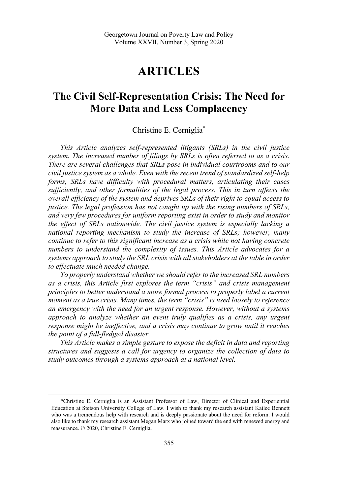# **ARTICLES**

## **The Civil Self-Representation Crisis: The Need for More Data and Less Complacency**

## Christine E. Cerniglia\*

*This Article analyzes self-represented litigants (SRLs) in the civil justice system. The increased number of filings by SRLs is often referred to as a crisis. There are several challenges that SRLs pose in individual courtrooms and to our civil justice system as a whole. Even with the recent trend of standardized self-help forms, SRLs have difficulty with procedural matters, articulating their cases sufficiently, and other formalities of the legal process. This in turn affects the overall efficiency of the system and deprives SRLs of their right to equal access to justice. The legal profession has not caught up with the rising numbers of SRLs, and very few procedures for uniform reporting exist in order to study and monitor the effect of SRLs nationwide. The civil justice system is especially lacking a national reporting mechanism to study the increase of SRLs; however, many continue to refer to this significant increase as a crisis while not having concrete numbers to understand the complexity of issues. This Article advocates for a systems approach to study the SRL crisis with all stakeholders at the table in order to effectuate much needed change.* 

*To properly understand whether we should refer to the increased SRL numbers as a crisis, this Article first explores the term "crisis" and crisis management principles to better understand a more formal process to properly label a current moment as a true crisis. Many times, the term "crisis" is used loosely to reference an emergency with the need for an urgent response. However, without a systems approach to analyze whether an event truly qualifies as a crisis, any urgent response might be ineffective, and a crisis may continue to grow until it reaches the point of a full-fledged disaster.* 

*This Article makes a simple gesture to expose the deficit in data and reporting structures and suggests a call for urgency to organize the collection of data to study outcomes through a systems approach at a national level.* 

 <sup>\*</sup>Christine E. Cerniglia is an Assistant Professor of Law, Director of Clinical and Experiential Education at Stetson University College of Law. I wish to thank my research assistant Kailee Bennett who was a tremendous help with research and is deeply passionate about the need for reform. I would also like to thank my research assistant Megan Marx who joined toward the end with renewed energy and reassurance. © 2020, Christine E. Cerniglia.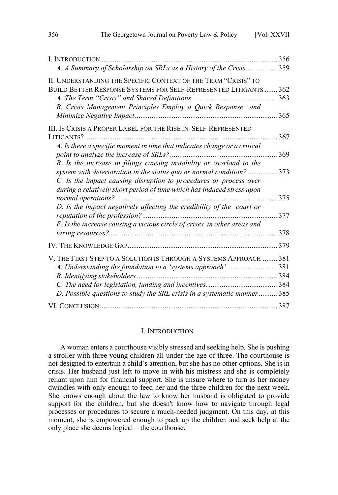| I. INTRODUCTION                                                                                                                                                                                    | 356        |
|----------------------------------------------------------------------------------------------------------------------------------------------------------------------------------------------------|------------|
| A. A Summary of Scholarship on SRLs as a History of the Crisis                                                                                                                                     | .359       |
| II. UNDERSTANDING THE SPECIFIC CONTEXT OF THE TERM "CRISIS" TO<br>BUILD BETTER RESPONSE SYSTEMS FOR SELF-REPRESENTED LITIGANTS  362<br>B. Crisis Management Principles Employ a Quick Response and | 363<br>365 |
| III. IS CRISIS A PROPER LABEL FOR THE RISE IN SELF-REPRESENTED                                                                                                                                     |            |
| A. Is there a specific moment in time that indicates change or a critical                                                                                                                          | 367<br>369 |
| B. Is the increase in filings causing instability or overload to the<br>system with deterioration in the status quo or normal condition?                                                           | 373        |
| C. Is the impact causing disruption to procedures or process over<br>during a relatively short period of time which has induced stress upon                                                        | .375       |
| D. Is the impact negatively affecting the credibility of the court or                                                                                                                              | 377        |
| E. Is the increase causing a vicious circle of crises in other areas and                                                                                                                           | 378        |
|                                                                                                                                                                                                    | 379        |
| V. THE FIRST STEP TO A SOLUTION IS THROUGH A SYSTEMS APPROACH  381<br>A. Understanding the foundation to a 'systems approach'381                                                                   |            |
| D. Possible questions to study the SRL crisis in a systematic manner 385                                                                                                                           |            |
|                                                                                                                                                                                                    |            |

#### I. INTRODUCTION

A woman enters a courthouse visibly stressed and seeking help. She is pushing a stroller with three young children all under the age of three. The courthouse is not designed to entertain a child's attention, but she has no other options. She is in crisis. Her husband just left to move in with his mistress and she is completely reliant upon him for financial support. She is unsure where to turn as her money dwindles with only enough to feed her and the three children for the next week. She knows enough about the law to know her husband is obligated to provide support for the children, but she doesn't know how to navigate through legal processes or procedures to secure a much-needed judgment. On this day, at this moment, she is empowered enough to pack up the children and seek help at the only place she deems logical—the courthouse.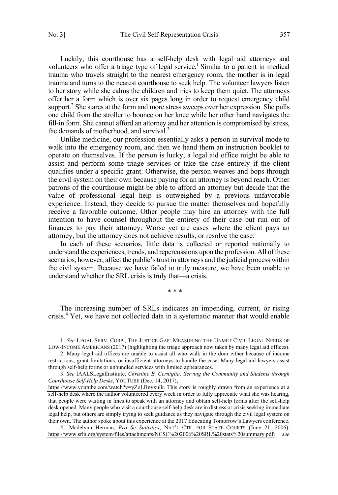Luckily, this courthouse has a self-help desk with legal aid attorneys and volunteers who offer a triage type of legal service.<sup>1</sup> Similar to a patient in medical trauma who travels straight to the nearest emergency room, the mother is in legal trauma and turns to the nearest courthouse to seek help. The volunteer lawyers listen to her story while she calms the children and tries to keep them quiet. The attorneys offer her a form which is over six pages long in order to request emergency child support.<sup>2</sup> She stares at the form and more stress sweeps over her expression. She pulls one child from the stroller to bounce on her knee while her other hand navigates the fill-in form. She cannot afford an attorney and her attention is compromised by stress, the demands of motherhood, and survival.<sup>3</sup>

Unlike medicine, our profession essentially asks a person in survival mode to walk into the emergency room, and then we hand them an instruction booklet to operate on themselves. If the person is lucky, a legal aid office might be able to assist and perform some triage services or take the case entirely if the client qualifies under a specific grant. Otherwise, the person weaves and bops through the civil system on their own because paying for an attorney is beyond reach. Other patrons of the courthouse might be able to afford an attorney but decide that the value of professional legal help is outweighed by a previous unfavorable experience. Instead, they decide to pursue the matter themselves and hopefully receive a favorable outcome. Other people may hire an attorney with the full intention to have counsel throughout the entirety of their case but run out of finances to pay their attorney. Worse yet are cases where the client pays an attorney, but the attorney does not achieve results, or resolve the case.

In each of these scenarios, little data is collected or reported nationally to understand the experiences, trends, and repercussions upon the profession. All of these scenarios, however, affect the public's trust in attorneys and the judicial process within the civil system. Because we have failed to truly measure, we have been unable to understand whether the SRL crisis is truly that—a crisis.

\* \* \*

The increasing number of SRLs indicates an impending, current, or rising crisis.<sup>4</sup> Yet, we have not collected data in a systematic manner that would enable

4 . Madelynn Herman, *Pro Se Statistics*, NAT'L CTR. FOR STATE COURTS (June 21, 2006), [https://www.srln.org/system/files/attachments/NCSC%202006%20SRL%20stats%20summary.pdf;](https://www.srln.org/system/files/attachments/NCSC%202006%20SRL%20stats%20summary.pdf) *see* 

 <sup>1.</sup> *See* LEGAL SERV. CORP., THE JUSTICE GAP: MEASURING THE UNMET CIVIL LEGAL NEEDS OF LOW-INCOME AMERICANS (2017) (highlighting the triage approach now taken by many legal aid offices).

<sup>2.</sup> Many legal aid offices are unable to assist all who walk in the door either because of income restrictions, grant limitations, or insufficient attorneys to handle the case. Many legal aid lawyers assist through self-help forms or unbundled services with limited appearances.

*See* IAALSLegalInstitute, *Christine E. Cerniglia: Serving the Community and Students through*  3. *Courthouse Self-Help Desks*, YOUTUBE (Dec. 14, 2017),

[https://www.youtube.com/watch?v=yZoLBnvxuIk.](https://www.youtube.com/watch?v=yZoLBnvxuIk) This story is roughly drawn from an experience at a self-help desk where the author volunteered every week in order to fully appreciate what she was hearing, that people were waiting in lines to speak with an attorney and obtain self-help forms after the self-help desk opened. Many people who visit a courthouse self-help desk are in distress or crisis seeking immediate legal help, but others are simply trying to seek guidance as they navigate through the civil legal system on their own. The author spoke about this experience at the 2017 Educating Tomorrow's Lawyers conference.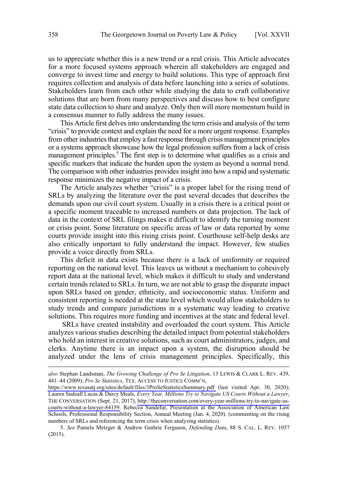us to appreciate whether this is a new trend or a real crisis. This Article advocates for a more focused systems approach wherein all stakeholders are engaged and converge to invest time and energy to build solutions. This type of approach first requires collection and analysis of data before launching into a series of solutions. Stakeholders learn from each other while studying the data to craft collaborative solutions that are born from many perspectives and discuss how to best configure state data collection to share and analyze. Only then will more momentum build in a consensus manner to fully address the many issues.

This Article first delves into understanding the term crisis and analysis of the term "crisis" to provide context and explain the need for a more urgent response. Examples from other industries that employ a fast response through crisis management principles or a systems approach showcase how the legal profession suffers from a lack of crisis management principles.<sup>5</sup> The first step is to determine what qualifies as a crisis and specific markers that indicate the burden upon the system as beyond a normal trend. The comparison with other industries provides insight into how a rapid and systematic response minimizes the negative impact of a crisis.

The Article analyzes whether "crisis" is a proper label for the rising trend of SRLs by analyzing the literature over the past several decades that describes the demands upon our civil court system. Usually in a crisis there is a critical point or a specific moment traceable to increased numbers or data projection. The lack of data in the context of SRL filings makes it difficult to identify the turning moment or crisis point. Some literature on specific areas of law or data reported by some courts provide insight into this rising crisis point. Courthouse self-help desks are also critically important to fully understand the impact. However, few studies provide a voice directly from SRLs.

This deficit in data exists because there is a lack of uniformity or required reporting on the national level. This leaves us without a mechanism to cohesively report data at the national level, which makes it difficult to study and understand certain trends related to SRLs. In turn, we are not able to grasp the disparate impact upon SRLs based on gender, ethnicity, and socioeconomic status. Uniform and consistent reporting is needed at the state level which would allow stakeholders to study trends and compare jurisdictions in a systematic way leading to creative solutions. This requires more funding and incentives at the state and federal level.

 SRLs have created instability and overloaded the court system. This Article analyzes various studies describing the detailed impact from potential stakeholders who hold an interest in creative solutions, such as court administrators, judges, and clerks. Anytime there is an impact upon a system, the disruption should be analyzed under the lens of crisis management principles. Specifically, this

*also* Stephan Landsman, *The Growing Challenge of Pro Se Litigation*, 13 LEWIS & CLARK L. REV. 439, 441–44 (2009); *Pro Se Statistics*, TEX. ACCESS TO JUSTICE COMM'N,

<https://www.texasatj.org/sites/default/files/3ProSeStatisticsSummary.pdf>(last visited Apr. 30, 2020); Lauren Sudeall Lucas & Darcy Meals, *Every Year, Millions Try to Navigate US Courts Without a Lawyer*, THE CONVERSATION (Sept. 21, 2017), [http://theconversation.com/every-year-millions-try-to-navigate-us](http://theconversation.com/every-year-millions-try-to-navigate-us-courts-without-a-lawyer-84159)[courts-without-a-lawyer-84159.](http://theconversation.com/every-year-millions-try-to-navigate-us-courts-without-a-lawyer-84159) Rebecca Sandefur, Presentation at the Association of American Law Schools, Professional Responsibility Section, Annual Meeting (Jan. 4, 2020). (commenting on the rising numbers of SRLs and referencing the term crisis when analyzing statistics).

<sup>5.</sup> *See* Pamela Metzger & Andrew Guthrie Ferguson, *Defending Data*, 88 S. CAL. L. REV. 1057 (2015).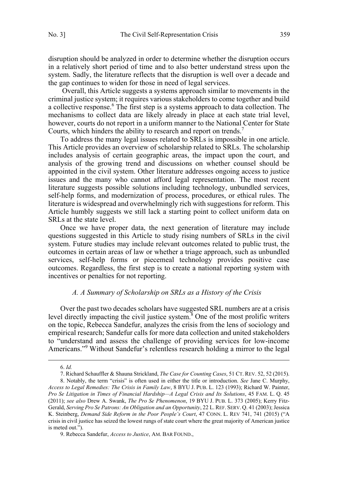<span id="page-4-0"></span>disruption should be analyzed in order to determine whether the disruption occurs in a relatively short period of time and to also better understand stress upon the system. Sadly, the literature reflects that the disruption is well over a decade and the gap continues to widen for those in need of legal services.

 Overall, this Article suggests a systems approach similar to movements in the criminal justice system; it requires various stakeholders to come together and build a collective response.<sup>6</sup> The first step is a systems approach to data collection. The mechanisms to collect data are likely already in place at each state trial level, however, courts do not report in a uniform manner to the National Center for State Courts, which hinders the ability to research and report on trends.<sup>7</sup>

To address the many legal issues related to SRLs is impossible in one article. This Article provides an overview of scholarship related to SRLs. The scholarship includes analysis of certain geographic areas, the impact upon the court, and analysis of the growing trend and discussions on whether counsel should be appointed in the civil system. Other literature addresses ongoing access to justice issues and the many who cannot afford legal representation. The most recent literature suggests possible solutions including technology, unbundled services, self-help forms, and modernization of process, procedures, or ethical rules. The literature is widespread and overwhelmingly rich with suggestions for reform. This Article humbly suggests we still lack a starting point to collect uniform data on SRLs at the state level.

Once we have proper data, the next generation of literature may include questions suggested in this Article to study rising numbers of SRLs in the civil system. Future studies may include relevant outcomes related to public trust, the outcomes in certain areas of law or whether a triage approach, such as unbundled services, self-help forms or piecemeal technology provides positive case outcomes. Regardless, the first step is to create a national reporting system with incentives or penalties for not reporting.

### *A. A Summary of Scholarship on SRLs as a History of the Crisis*

Over the past two decades scholars have suggested SRL numbers are at a crisis level directly impacting the civil justice system.<sup>8</sup> One of the most prolific writers on the topic, Rebecca Sandefur, analyzes the crisis from the lens of sociology and empirical research; Sandefur calls for more data collection and united stakeholders to "understand and assess the challenge of providing services for low-income Americans."<sup>9</sup> Without Sandefur's relentless research holding a mirror to the legal

 <sup>6.</sup> *Id.* 

<sup>7.</sup> Richard Schauffler & Shauna Strickland, *The Case for Counting Cases*, 51 CT. REV. 52, 52 (2015).

<sup>8.</sup> Notably, the term "crisis" is often used in either the title or introduction. *See* Jane C. Murphy, *Access to Legal Remedies: The Crisis in Family Law*, 8 BYU J. PUB. L. 123 (1993); Richard W. Painter, *Pro Se Litigation in Times of Financial Hardship—A Legal Crisis and Its Solutions*, 45 FAM. L. Q. 45 (2011); *see also* Drew A. Swank, *The Pro Se Phenomenon*, 19 BYU J. PUB. L. 373 (2005); Kerry Fitz-Gerald, *Serving Pro Se Patrons: An Obligation and an Opportunity*, 22 L. REF. SERV. Q. 41 (2003); Jessica K. Steinberg, *Demand Side Reform in the Poor People's Court*, 47 CONN. L. REV 741, 741 (2015) ("A crisis in civil justice has seized the lowest rungs of state court where the great majority of American justice is meted out.").

<sup>9.</sup> Rebecca Sandefur, *Access to Justice*, AM. BAR FOUND.,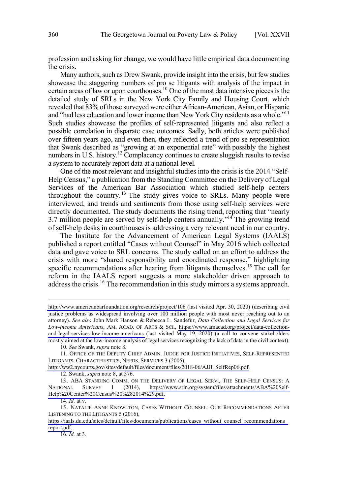profession and asking for change, we would have little empirical data documenting the crisis.

Many authors, such as Drew Swank, provide insight into the crisis, but few studies showcase the staggering numbers of pro se litigants with analysis of the impact in certain areas of law or upon courthouses.10 One of the most data intensive pieces is the detailed study of SRLs in the New York City Family and Housing Court, which revealed that 83% of those surveyed were either African-American, Asian, or Hispanic and "had less education and lower income than New York City residents as a whole."11 Such studies showcase the profiles of self-represented litigants and also reflect a possible correlation in disparate case outcomes. Sadly, both articles were published over fifteen years ago, and even then, they reflected a trend of pro se representation that Swank described as "growing at an exponential rate" with possibly the highest numbers in U.S. history.<sup>12</sup> Complacency continues to create sluggish results to revise a system to accurately report data at a national level.

One of the most relevant and insightful studies into the crisis is the 2014 "Self-Help Census," a publication from the Standing Committee on the Delivery of Legal Services of the American Bar Association which studied self-help centers throughout the country.<sup>13</sup> The study gives voice to SRLs. Many people were interviewed, and trends and sentiments from those using self-help services were directly documented. The study documents the rising trend, reporting that "nearly 3.7 million people are served by self-help centers annually."<sup>14</sup> The growing trend of self-help desks in courthouses is addressing a very relevant need in our country.

The Institute for the Advancement of American Legal Systems (IAALS) published a report entitled "Cases without Counsel" in May 2016 which collected data and gave voice to SRL concerns. The study called on an effort to address the crisis with more "shared responsibility and coordinated response," highlighting specific recommendations after hearing from litigants themselves.<sup>15</sup> The call for reform in the IAALS report suggests a more stakeholder driven approach to address the crisis.<sup>16</sup> The recommendation in this study mirrors a systems approach.

10. *See* Swank, *supra* note 8.

[http://ww2.nycourts.gov/sites/default/files/document/files/2018-06/AJJI\\_SelfRep06.pdf.](http://ww2.nycourts.gov/sites/default/files/document/files/2018-06/AJJI_SelfRep06.pdf)

12. Swank, *supra* note 8, at 376.

13. ABA STANDING COMM. ON THE DELIVERY OF LEGAL SERV., THE SELF-HELP CENSUS: A NATIONAL SURVEY 1 (2014), [https://www.srln.org/system/files/attachments/ABA%20Self-](https://www.srln.org/system/files/attachments/ABA%20Self-Help%20Center%20Census%20%282014%29.pdf)[Help%20Center%20Census%20%282014%29.pdf.](https://www.srln.org/system/files/attachments/ABA%20Self-Help%20Center%20Census%20%282014%29.pdf)

14. *Id.* at v.

16. *Id.* at 3.

<http://www.americanbarfoundation.org/research/project/106>(last visited Apr. 30, 2020) (describing civil justice problems as widespread involving over 100 million people with most never reaching out to an attorney). *See also* John Mark Hanson & Rebecca L. Sandefur, *Data Collection and Legal Services for Low-income Americans*, AM. ACAD. OF ARTS & SCI., [https://www.amacad.org/project/data-collection](https://www.amacad.org/project/data-collection-and-legal-services-low-income-americans)[and-legal-services-low-income-americans](https://www.amacad.org/project/data-collection-and-legal-services-low-income-americans) (last visited May 19, 2020) (a call to convene stakeholders mostly aimed at the low-income analysis of legal services recognizing the lack of data in the civil context).

<sup>11.</sup>  OFFICE OF THE DEPUTY CHIEF ADMIN. JUDGE FOR JUSTICE INITIATIVES, SELF-REPRESENTED LITIGANTS: CHARACTERISTICS, NEEDS, SERVICES 3 (2005),

<sup>15.</sup> NATALIE ANNE KNOWLTON, CASES WITHOUT COUNSEL: OUR RECOMMENDATIONS AFTER LISTENING TO THE LITIGANTS 5 (2016),

[https://iaals.du.edu/sites/default/files/documents/publications/cases\\_without\\_counsel\\_recommendations\\_](https://iaals.du.edu/sites/default/files/documents/publications/cases_without_counsel_recommendations_report.pdf) [report.pdf.](https://iaals.du.edu/sites/default/files/documents/publications/cases_without_counsel_recommendations_report.pdf)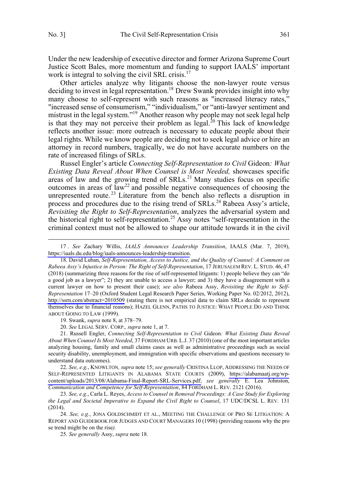Under the new leadership of executive director and former Arizona Supreme Court Justice Scott Bales, more momentum and funding to support IAALS' important work is integral to solving the civil SRL crisis.<sup>17</sup>

Other articles analyze why litigants choose the non-lawyer route versus deciding to invest in legal representation.<sup>18</sup> Drew Swank provides insight into why many choose to self-represent with such reasons as "increased literacy rates," "increased sense of consumerism," "individualism," or "anti-lawyer sentiment and mistrust in the legal system."<sup>19</sup> Another reason why people may not seek legal help is that they may not perceive their problem as legal.<sup>20</sup> This lack of knowledge reflects another issue: more outreach is necessary to educate people about their legal rights. While we know people are deciding not to seek legal advice or hire an attorney in record numbers, tragically, we do not have accurate numbers on the rate of increased filings of SRLs.

Russel Engler's article *Connecting Self-Representation to Civil* Gideon*: What Existing Data Reveal About When Counsel is Most Needed,* showcases specific areas of law and the growing trend of  $SRLs$ .<sup>21</sup> Many studies focus on specific outcomes in areas of  $law<sup>22</sup>$  and possible negative consequences of choosing the unrepresented route.<sup>23</sup> Literature from the bench also reflects a disruption in process and procedures due to the rising trend of SRLs.<sup>24</sup> Rabeea Assy's article, *Revisiting the Right to Self-Representation*, analyzes the adversarial system and the historical right to self-representation.25 Assy notes "self-representation in the criminal context must not be allowed to shape our attitude towards it in the civil

19. Swank, *supra* note 8, at 378–79.

20. *See* LEGAL SERV. CORP.*, supra* note 1, at 7.

21. Russell Engler, *Connecting Self-Representation to Civil* Gideon*: What Existing Data Reveal About When Counsel Is Most Needed*, 37 FORDHAM URB. L.J. 37 (2010) (one of the most important articles analyzing housing, family and small claims cases as well as administrative proceedings such as social security disability, unemployment, and immigration with specific observations and questions necessary to understand data outcomes).

*See, e.g.*, KNOWLTON*, supra* note 15; *see generally* CRISTINA LLOP, ADDRESSING THE NEEDS OF 22. SELF-REPRESENTED LITIGANTS IN ALABAMA STATE COURTS (2009), [https://alabamaatj.org/wp](https://alabamaatj.org/wp-content/uploads/2013/08/Alabama-Final-Report-SRL-Services.pdf)[content/uploads/2013/08/Alabama-Final-Report-SRL-Services.pdf;](https://alabamaatj.org/wp-content/uploads/2013/08/Alabama-Final-Report-SRL-Services.pdf) *see generally* E. Lea Johnston, *Communication and Competence for Self-Representation*, 84 FORDHAM L. REV. 2121 (2016).

24. *See, e.g.*, JONA GOLDSCHMIDT ET AL., MEETING THE CHALLENGE OF PRO SE LITIGATION: A REPORT AND GUIDEBOOK FOR JUDGES AND COURT MANAGERS 10 (1998) (providing reasons why the pro se trend might be on the rise*).* 

25. *See generally* Assy, *supra* note 18.

*See* Zachary Willis, *IAALS Announces Leadership Transition*, IAALS (Mar. 7, 2019), 17 . [https://iaals.du.edu/blog/iaals-announces-leadership-transition.](https://iaals.du.edu/blog/iaals-announces-leadership-transition)

<sup>18.</sup> David Luban, Self-Representation, Access to Justice, and the Quality of Counsel: A Comment on *Rabeea Assy's Injustice in Person: The Right of Self-Representation*, 17 JERUSALEM REV. L. STUD. 46, 47 (2018) (summarizing three reasons for the rise of self-represented litigants: 1) people believe they can "do a good job as a lawyer"; 2) they are unable to access a lawyer; and 3) they have a disagreement with a current lawyer on how to present their case); *see also* Rabeea Assy, *Revisiting the Right to Self-Representation* 17–20 (Oxford Student Legal Research Paper Series, Working Paper No. 02/2012, 2012), <http://ssrn.com/abstract=2010509> (stating there is not empirical data to claim SRLs decide to represent themselves due to financial reasons); HAZEL GLENN, PATHS TO JUSTICE: WHAT PEOPLE DO AND THINK ABOUT GOING TO LAW (1999).

<sup>23.</sup> *See, e.g.*, Carla L. Reyes, *Access to Counsel in Removal Proceedings: A Case Study for Exploring the Legal and Societal Imperative to Expand the Civil Right to Counsel*, 17 UDC/DCSL L. REV. 131 (2014).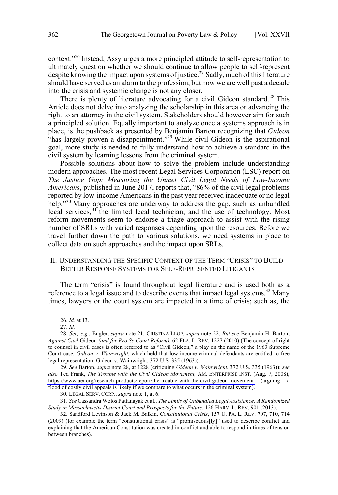<span id="page-7-0"></span>context."26 Instead, Assy urges a more principled attitude to self-representation to ultimately question whether we should continue to allow people to self-represent despite knowing the impact upon systems of justice.<sup>27</sup> Sadly, much of this literature should have served as an alarm to the profession, but now we are well past a decade into the crisis and systemic change is not any closer.

There is plenty of literature advocating for a civil Gideon standard.<sup>28</sup> This Article does not delve into analyzing the scholarship in this area or advancing the right to an attorney in the civil system. Stakeholders should however aim for such a principled solution. Equally important to analyze once a systems approach is in place, is the pushback as presented by Benjamin Barton recognizing that *Gideon*  "has largely proven a disappointment."<sup>29</sup> While civil Gideon is the aspirational goal, more study is needed to fully understand how to achieve a standard in the civil system by learning lessons from the criminal system.

Possible solutions about how to solve the problem include understanding modern approaches. The most recent Legal Services Corporation (LSC) report on *The Justice Gap: Measuring the Unmet Civil Legal Needs of Low-Income Americans*, published in June 2017, reports that, "86% of the civil legal problems reported by low-income Americans in the past year received inadequate or no legal help."<sup>30</sup> Many approaches are underway to address the gap, such as unbundled legal services,  $31$  the limited legal technician, and the use of technology. Most reform movements seem to endorse a triage approach to assist with the rising number of SRLs with varied responses depending upon the resources. Before we travel further down the path to various solutions, we need systems in place to collect data on such approaches and the impact upon SRLs.

## II. UNDERSTANDING THE SPECIFIC CONTEXT OF THE TERM "CRISIS" TO BUILD BETTER RESPONSE SYSTEMS FOR SELF-REPRESENTED LITIGANTS

The term "crisis" is found throughout legal literature and is used both as a reference to a legal issue and to describe events that impact legal systems.<sup>32</sup> Many times, lawyers or the court system are impacted in a time of crisis; such as, the

*See* Barton, *supra* note 28, at 1228 (critiquing *Gideon v. Wainwright*, 372 U.S. 335 (1963)); *see*  29. *also* Ted Frank, *The Trouble with the Civil Gideon Movement,* AM. ENTERPRISE INST. (Aug. 7, 2008), <https://www.aei.org/research-products/report/the-trouble-with-the-civil-gideon-movement>(arguing a flood of costly civil appeals is likely if we compare to what occurs in the criminal system).

30. LEGAL SERV. CORP., *supra* note 1, at 6.

31. *See* Cassandra Wolos Pattanayak et al., *The Limits of Unbundled Legal Assistance: A Randomized Study in Massachusetts District Court and Prospects for the Future*, 126 HARV. L. REV. 901 (2013).

 <sup>26.</sup> *Id.* at 13.

<sup>27.</sup> *Id.* 

<sup>28.</sup> *See, e.g.*, Engler, *supra* note 21; CRISTINA LLOP, *supra* note 22. *But see* Benjamin H. Barton, *Against Civil* Gideon *(and for Pro Se Court Reform)*, 62 FLA. L. REV. 1227 (2010) (The concept of right to counsel in civil cases is often referred to as "Civil Gideon," a play on the name of the 1963 Supreme Court case, *Gideon v. Wainwright*, which held that low-income criminal defendants are entitled to free legal representation. Gideon v. Wainwright, 372 U.S. 335 (1963)).

<sup>32.</sup> Sandford Levinson & Jack M. Balkin, *Constitutional Crisis*, 157 U. PA. L. REV. 707, 710, 714 (2009) (for example the term "constitutional crisis" is "promiscuous[ly]" used to describe conflict and explaining that the American Constitution was created in conflict and able to respond in times of tension between branches).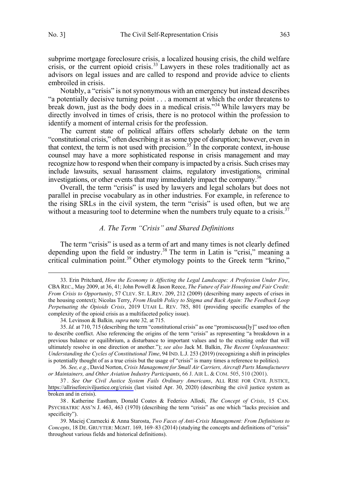<span id="page-8-0"></span>subprime mortgage foreclosure crisis, a localized housing crisis, the child welfare crisis, or the current opioid crisis.<sup>33</sup> Lawyers in these roles traditionally act as advisors on legal issues and are called to respond and provide advice to clients embroiled in crisis.

Notably, a "crisis" is not synonymous with an emergency but instead describes "a potentially decisive turning point . . . a moment at which the order threatens to break down, just as the body does in a medical crisis."<sup>34</sup> While lawyers may be directly involved in times of crisis, there is no protocol within the profession to identify a moment of internal crisis for the profession.

The current state of political affairs offers scholarly debate on the term "constitutional crisis," often describing it as some type of disruption; however, even in that context, the term is not used with precision.<sup>35</sup> In the corporate context, in-house counsel may have a more sophisticated response in crisis management and may recognize how to respond when their company is impacted by a crisis. Such crises may include lawsuits, sexual harassment claims, regulatory investigations, criminal investigations, or other events that may immediately impact the company.36

Overall, the term "crisis" is used by lawyers and legal scholars but does not parallel in precise vocabulary as in other industries. For example, in reference to the rising SRLs in the civil system, the term "crisis" is used often, but we are without a measuring tool to determine when the numbers truly equate to a crisis. $37$ 

#### *A. The Term "Crisis" and Shared Definitions*

The term "crisis" is used as a term of art and many times is not clearly defined depending upon the field or industry.<sup>38</sup> The term in Latin is "crisi," meaning a critical culmination point.<sup>39</sup> Other etymology points to the Greek term "krino,"

34. Levinson & Balkin*, supra* note 32*,* at 715.

36. *See, e.g.*, David Norton, *Crisis Management for Small Air Carriers, Aircraft Parts Manufacturers or Maintainers, and Other Aviation Industry Participants*, 66 J. AIR L. & COM. 505, 510 (2001).

 <sup>33.</sup> Erin Pritchard, *How the Economy is Affecting the Legal Landscape: A Profession Under Fire*, CBA REC., May 2009, at 36, 41; John Powell & Jason Reece, *The Future of Fair Housing and Fair Credit: From Crisis to Opportunity*, 57 CLEV. ST. L.REV. 209, 212 (2009) (describing many aspects of crises in the housing context); Nicolas Terry, *From Health Policy to Stigma and Back Again: The Feedback Loop Perpetuating the Opioids Crisis*, 2019 UTAH L. REV. 785, 801 (providing specific examples of the complexity of the opioid crisis as a multifaceted policy issue).

<sup>35.</sup> *Id.* at 710, 715 (describing the term "constitutional crisis" as one "promiscuous[ly]" used too often to describe conflict. Also referencing the origins of the term "crisis" as representing "a breakdown in a previous balance or equilibrium, a disturbance to important values and to the existing order that will ultimately resolve in one direction or another."); *see also* Jack M. Balkin, *The Recent Unpleasantness: Understanding the Cycles of Constitutional Time*, 94 IND. L.J. 253 (2019) (recognizing a shift in principles is potentially thought of as a true crisis but the usage of "crisis" is many times a reference to politics).

*See Our Civil Justice System Fails Ordinary Americans*, ALL RISE FOR CIVIL JUSTICE, 37 . <https://allriseforciviljustice.org/crisis>(last visited Apr. 30, 2020) (describing the civil justice system as broken and in crisis).

<sup>38 .</sup> Katherine Eastham, Donald Coates & Federico Allodi, *The Concept of Crisis*, 15 CAN. PSYCHIATRIC ASS'N J. 463, 463 (1970) (describing the term "crisis" as one which "lacks precision and specificity").

<sup>39.</sup> Maciej Czarnecki & Anna Starosta, *Two Faces of Anti-Crisis Management: From Definitions to Concepts*, 18 DE. GRUYTER: MGMT. 169, 169–83 (2014) (studying the concepts and definitions of "crisis" throughout various fields and historical definitions).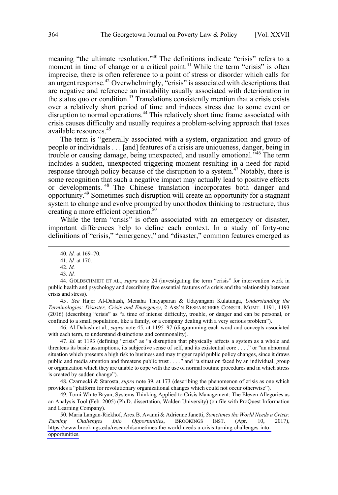meaning "the ultimate resolution."40 The definitions indicate "crisis" refers to a moment in time of change or a critical point.<sup>41</sup> While the term "crisis" is often imprecise, there is often reference to a point of stress or disorder which calls for an urgent response.<sup>42</sup> Overwhelmingly, "crisis" is associated with descriptions that are negative and reference an instability usually associated with deterioration in the status quo or condition.<sup>43</sup> Translations consistently mention that a crisis exists over a relatively short period of time and induces stress due to some event or disruption to normal operations.<sup>44</sup> This relatively short time frame associated with crisis causes difficulty and usually requires a problem-solving approach that taxes available resources<sup>45</sup>

The term is "generally associated with a system, organization and group of people or individuals . . . [and] features of a crisis are uniqueness, danger, being in trouble or causing damage, being unexpected, and usually emotional.<sup> $346$ </sup> The term includes a sudden, unexpected triggering moment resulting in a need for rapid response through policy because of the disruption to a system.<sup>47</sup> Notably, there is some recognition that such a negative impact may actually lead to positive effects or developments. 48 The Chinese translation incorporates both danger and opportunity.49 Sometimes such disruption will create an opportunity for a stagnant system to change and evolve prompted by unorthodox thinking to restructure, thus creating a more efficient operation.<sup>50</sup>

While the term "crisis" is often associated with an emergency or disaster, important differences help to define each context. In a study of forty-one definitions of "crisis," "emergency," and "disaster," common features emerged as

43. *Id.* 

45 . *See* Hajer Al-Dahash, Menaha Thayaparan & Udayangani Kulatunga, *Understanding the Terminologies: Disaster, Crisis and Emergency*, 2 ASS'N RESEARCHERS CONSTR. MGMT. 1191, 1193 (2016) (describing "crisis" as "a time of intense difficulty, trouble, or danger and can be personal, or confined to a small population, like a family, or a company dealing with a very serious problem").

46. Al-Dahash et al., *supra* note 45, at 1195–97 (diagramming each word and concepts associated with each term, to understand distinctions and commonality).

47. *Id*. at 1193 (defining "crisis" as "a disruption that physically affects a system as a whole and threatens its basic assumptions, its subjective sense of self, and its existential core . . . ." or "an abnormal situation which presents a high risk to business and may trigger rapid public policy changes, since it draws public and media attention and threatens public trust . . . ." and "a situation faced by an individual, group or organization which they are unable to cope with the use of normal routine procedures and in which stress is created by sudden change").

48. Czarnecki & Starosta, *supra* note 39, at 173 (describing the phenomenon of crisis as one which provides a "platform for revolutionary organizational changes which could not occur otherwise").

49. Tomi White Bryan, Systems Thinking Applied to Crisis Management: The Eleven Allegories as an Analysis Tool (Feb. 2005) (Ph.D. dissertation, Walden University) (on file with ProQuest Information and Learning Company).

50. Maria Langan-Riekhof, Arex B. Avanni & Adrienne Janetti, Sometimes the World Needs a Crisis: *Turning Challenges Into Opportunities*, BROOKINGS INST. (Apr. 10, 2017), [https://www.brookings.edu/research/sometimes-the-world-needs-a-crisis-turning-challenges-into](https://www.brookings.edu/research/sometimes-the-world-needs-a-crisis-turning-challenges-into-opportunities)[opportunities.](https://www.brookings.edu/research/sometimes-the-world-needs-a-crisis-turning-challenges-into-opportunities)

 <sup>40.</sup> *Id.* at 169–70.

<sup>41.</sup> *Id.* at 170.

<sup>42.</sup> *Id.* 

<sup>44.</sup> GOLDSCHMIDT ET AL., *supra* note 24 (investigating the term "crisis" for intervention work in public health and psychology and describing five essential features of a crisis and the relationship between crisis and stress).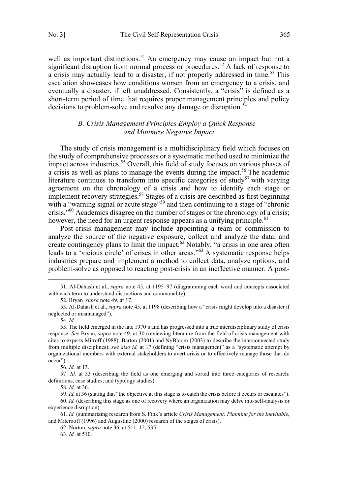<span id="page-10-0"></span>well as important distinctions.<sup>51</sup> An emergency may cause an impact but not a significant disruption from normal process or procedures.<sup>52</sup> A lack of response to a crisis may actually lead to a disaster, if not properly addressed in time.<sup>53</sup> This escalation showcases how conditions worsen from an emergency to a crisis, and eventually a disaster, if left unaddressed. Consistently, a "crisis" is defined as a short-term period of time that requires proper management principles and policy decisions to problem-solve and resolve any damage or disruption.<sup>54</sup>

## *B. Crisis Management Principles Employ a Quick Response and Minimize Negative Impact*

The study of crisis management is a multidisciplinary field which focuses on the study of comprehensive processes or a systematic method used to minimize the impact across industries.<sup>55</sup> Overall, this field of study focuses on various phases of a crisis as well as plans to manage the events during the impact.<sup>56</sup> The academic literature continues to transform into specific categories of study<sup>57</sup> with varying agreement on the chronology of a crisis and how to identify each stage or implement recovery strategies.<sup>58</sup> Stages of a crisis are described as first beginning with a "warning signal or acute stage"<sup>59</sup> and then continuing to a stage of "chronic crisis."60 Academics disagree on the number of stages or the chronology of a crisis; however, the need for an urgent response appears as a unifying principle.<sup>61</sup>

Post-crisis management may include appointing a team or commission to analyze the source of the negative exposure, collect and analyze the data, and create contingency plans to limit the impact.<sup>62</sup> Notably, "a crisis in one area often leads to a 'vicious circle' of crises in other areas."<sup>63</sup> A systematic response helps industries prepare and implement a method to collect data, analyze options, and problem-solve as opposed to reacting post-crisis in an ineffective manner. A post-

52. Bryan*, supra* note 49, at 17.

56. *Id.* at 13.

63. *Id.* at 510.

 <sup>51.</sup> Al-Dahash et al., *supra* note 45, at 1195–97 (diagramming each word and concepts associated with each term to understand distinctions and commonality).

<sup>53.</sup> Al-Dahash et al., *supra* note 45, at 1198 (describing how a "crisis might develop into a disaster if neglected or mismanaged").

<sup>54.</sup> *Id.* 

<sup>55.</sup> The field emerged in the late 1970's and has progressed into a true interdisciplinary study of crisis response. *See* Bryan*, supra* note 49, at 30 (reviewing literature from the field of crisis management with cites to experts Mitroff (1988), Barton (2001) and NyBloom (2003) to describe the interconnected study from multiple disciplines); *see also id.* at 17 (defining "crisis management" as a "systematic attempt by organizational members with external stakeholders to avert crisis or to effectively manage those that do occur").

<sup>57.</sup> *Id.* at 33 (describing the field as one emerging and sorted into three categories of research: definitions, case studies, and typology studies).

<sup>58.</sup> *Id.* at 36.

<sup>59.</sup> *Id.* at 36 (stating that "the objective at this stage is to catch the crisis before it occurs or escalates").

<sup>60.</sup> *Id.* (describing this stage as one of recovery where an organization may delve into self-analysis or experience disruption).

<sup>61.</sup> *Id.* (summarizing research from S. Fink's article *Crisis Management: Planning for the Inevitable,* and Miterooff (1996) and Augustine (2000) research of the stages of crisis).

<sup>62.</sup> Norton, *supra* note 36, at 511–12, 535.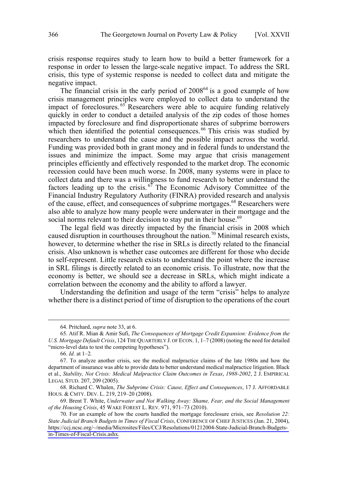crisis response requires study to learn how to build a better framework for a response in order to lessen the large-scale negative impact. To address the SRL crisis, this type of systemic response is needed to collect data and mitigate the negative impact.

The financial crisis in the early period of  $2008^{64}$  is a good example of how crisis management principles were employed to collect data to understand the impact of foreclosures.  $65$  Researchers were able to acquire funding relatively quickly in order to conduct a detailed analysis of the zip codes of those homes impacted by foreclosure and find disproportionate shares of subprime borrowers which then identified the potential consequences.<sup>66</sup> This crisis was studied by researchers to understand the cause and the possible impact across the world. Funding was provided both in grant money and in federal funds to understand the issues and minimize the impact. Some may argue that crisis management principles efficiently and effectively responded to the market drop. The economic recession could have been much worse. In 2008, many systems were in place to collect data and there was a willingness to fund research to better understand the factors leading up to the crisis.<sup>67</sup> The Economic Advisory Committee of the Financial Industry Regulatory Authority (FINRA) provided research and analysis of the cause, effect, and consequences of subprime mortgages.68 Researchers were also able to analyze how many people were underwater in their mortgage and the social norms relevant to their decision to stay put in their house.<sup>69</sup>

The legal field was directly impacted by the financial crisis in 2008 which caused disruption in courthouses throughout the nation.<sup>70</sup> Minimal research exists, however, to determine whether the rise in SRLs is directly related to the financial crisis. Also unknown is whether case outcomes are different for those who decide to self-represent. Little research exists to understand the point where the increase in SRL filings is directly related to an economic crisis. To illustrate, now that the economy is better, we should see a decrease in SRLs, which might indicate a correlation between the economy and the ability to afford a lawyer.

Understanding the definition and usage of the term "crisis" helps to analyze whether there is a distinct period of time of disruption to the operations of the court

66. *Id.* at 1–2*.*

 <sup>64.</sup> Pritchard, *supra* note 33, at 6.

<sup>65.</sup> Atif R. Mian & Amir Sufi, *The Consequences of Mortgage Credit Expansion: Evidence from the U.S. Mortgage Default Crisis*, 124 THE QUARTERLY J. OF ECON. 1, 1–7 (2008) (noting the need for detailed "micro-level data to test the competing hypotheses").

<sup>67.</sup> To analyze another crisis, see the medical malpractice claims of the late 1980s and how the department of insurance was able to provide data to better understand medical malpractice litigation. Black et al., *Stability, Not Crisis: Medical Malpractice Claim Outcomes in Texas*, *1988-2002*, 2 J. EMPIRICAL LEGAL STUD. 207, 209 (2005).

<sup>68.</sup> Richard C. Whalen, *The Subprime Crisis: Cause, Effect and Consequences*, 17 J. AFFORDABLE HOUS. & CMTY. DEV. L. 219, 219–20 (2008).

<sup>69.</sup> Brent T. White, *Underwater and Not Walking Away: Shame, Fear, and the Social Management of the Housing Crisis*, 45 WAKE FOREST L. REV. 971, 971–73 (2010).

For an example of how the courts handled the mortgage foreclosure crisis, see *Resolution 22:*  70. *State Judicial Branch Budgets in Times of Fiscal Crisis*, CONFERENCE OF CHIEF JUSTICES (Jan. 21, 2004), [https://ccj.ncsc.org/~/media/Microsites/Files/CCJ/Resolutions/01212004-State-Judicial-Branch-Budgets](https://ccj.ncsc.org/~/media/Microsites/Files/CCJ/Resolutions/01212004-State-Judicial-Branch-Budgets-in-Times-of-Fiscal-Crisis.ashx)[in-Times-of-Fiscal-Crisis.ashx.](https://ccj.ncsc.org/~/media/Microsites/Files/CCJ/Resolutions/01212004-State-Judicial-Branch-Budgets-in-Times-of-Fiscal-Crisis.ashx)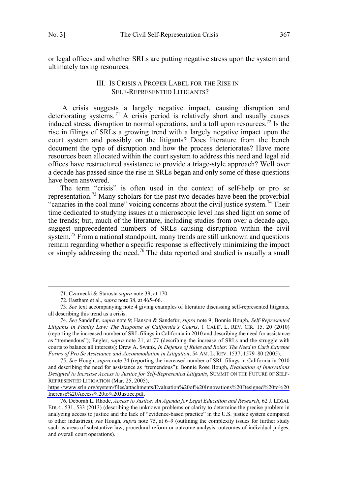<span id="page-12-0"></span>or legal offices and whether SRLs are putting negative stress upon the system and ultimately taxing resources.

## III. IS CRISIS A PROPER LABEL FOR THE RISE IN SELF-REPRESENTED LITIGANTS?

 A crisis suggests a largely negative impact, causing disruption and deteriorating systems. <sup>71</sup> A crisis period is relatively short and usually causes induced stress, disruption to normal operations, and a toll upon resources.<sup>72</sup> Is the rise in filings of SRLs a growing trend with a largely negative impact upon the court system and possibly on the litigants? Does literature from the bench document the type of disruption and how the process deteriorates? Have more resources been allocated within the court system to address this need and legal aid offices have restructured assistance to provide a triage-style approach? Well over a decade has passed since the rise in SRLs began and only some of these questions have been answered.

The term "crisis" is often used in the context of self-help or pro se representation.73 Many scholars for the past two decades have been the proverbial "canaries in the coal mine" voicing concerns about the civil justice system.<sup>74</sup> Their time dedicated to studying issues at a microscopic level has shed light on some of the trends; but, much of the literature, including studies from over a decade ago, suggest unprecedented numbers of SRLs causing disruption within the civil system.<sup>75</sup> From a national standpoint, many trends are still unknown and questions remain regarding whether a specific response is effectively minimizing the impact or simply addressing the need.<sup>76</sup> The data reported and studied is usually a small

 <sup>71.</sup> Czarnecki & Starosta *supra* note 39, at 170.

<sup>72.</sup> Eastham et al., *supra* note 38, at 465–66.

<sup>73.</sup> *See* text accompanying note 4 giving examples of literature discussing self-represented litigants, all describing this trend as a crisis.

<sup>74.</sup> *See* Sandefur, *supra* note 9; Hanson & Sandefur, *supra* note 9; Bonnie Hough, *Self-Represented Litigants in Family Law: The Response of California's Courts*, 1 CALIF. L. REV. CIR. 15, 20 (2010) (reporting the increased number of SRL filings in California in 2010 and describing the need for assistance as "tremendous"); Engler, *supra* note 21, at 77 (describing the increase of SRLs and the struggle with courts to balance all interests); Drew A. Swank, *In Defense of Rules and Roles: The Need to Curb Extreme Forms of Pro Se Assistance and Accommodation in Litigation*, 54 AM. L. REV. 1537, 1579–80 (2005).

*See* Hough, *supra* note 74 (reporting the increased number of SRL filings in California in 2010 75. and describing the need for assistance as "tremendous"); Bonnie Rose Hough, *Evaluation of Innovations Designed to Increase Access to Justice for Self-Represented Litigants*, SUMMIT ON THE FUTURE OF SELF-REPRESENTED LITIGATION (Mar. 25, 2005),

[https://www.srln.org/system/files/attachments/Evaluation%20of%20Innovations%20Designed%20to%20](https://www.srln.org/system/files/attachments/Evaluation%20of%20Innovations%20Designed%20to%20Increase%20Access%20to%20Justice.pdf) [Increase%20Access%20to%20Justice.pdf.](https://www.srln.org/system/files/attachments/Evaluation%20of%20Innovations%20Designed%20to%20Increase%20Access%20to%20Justice.pdf)

<sup>76.</sup> Deborah L. Rhode, *Access to Justice: An Agenda for Legal Education and Research*, 62 J. LEGAL EDUC. 531, 533 (2013) (describing the unknown problems or clarity to determine the precise problem in analyzing access to justice and the lack of "evidence-based practice" in the U.S. justice system compared to other industries); *see* Hough*, supra* note 75, at 6–9 (outlining the complexity issues for further study such as areas of substantive law, procedural reform or outcome analysis, outcomes of individual judges, and overall court operations).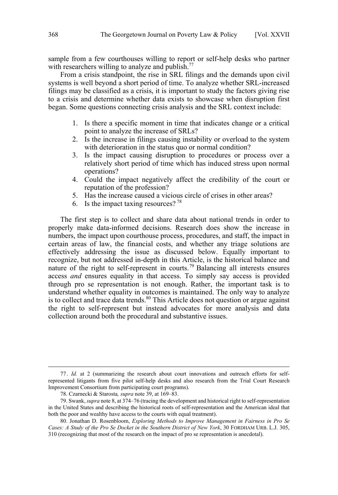sample from a few courthouses willing to report or self-help desks who partner with researchers willing to analyze and publish. $^{77}$ 

From a crisis standpoint, the rise in SRL filings and the demands upon civil systems is well beyond a short period of time. To analyze whether SRL-increased filings may be classified as a crisis, it is important to study the factors giving rise to a crisis and determine whether data exists to showcase when disruption first began. Some questions connecting crisis analysis and the SRL context include:

- 1. Is there a specific moment in time that indicates change or a critical point to analyze the increase of SRLs?
- 2. Is the increase in filings causing instability or overload to the system with deterioration in the status quo or normal condition?
- 3. Is the impact causing disruption to procedures or process over a relatively short period of time which has induced stress upon normal operations?
- 4. Could the impact negatively affect the credibility of the court or reputation of the profession?
- 5. Has the increase caused a vicious circle of crises in other areas?
- 6. Is the impact taxing resources?  $78$

The first step is to collect and share data about national trends in order to properly make data-informed decisions. Research does show the increase in numbers, the impact upon courthouse process, procedures, and staff, the impact in certain areas of law, the financial costs, and whether any triage solutions are effectively addressing the issue as discussed below. Equally important to recognize, but not addressed in-depth in this Article, is the historical balance and nature of the right to self-represent in courts.<sup>79</sup> Balancing all interests ensures access *and* ensures equality in that access. To simply say access is provided through pro se representation is not enough. Rather, the important task is to understand whether equality in outcomes is maintained. The only way to analyze is to collect and trace data trends. $80$  This Article does not question or argue against the right to self-represent but instead advocates for more analysis and data collection around both the procedural and substantive issues.

 <sup>77 .</sup> *Id.* at 2 (summarizing the research about court innovations and outreach efforts for selfrepresented litigants from five pilot self-help desks and also research from the Trial Court Research Improvement Consortium from participating court programs).

<sup>78.</sup> Czarnecki & Starosta*, supra* note 39, at 169–83.

<sup>79.</sup> Swank, *supra* note 8, at 374–76 (tracing the development and historical right to self-representation in the United States and describing the historical roots of self-representation and the American ideal that both the poor and wealthy have access to the courts with equal treatment).

<sup>80.</sup> Jonathan D. Rosenbloom, *Exploring Methods to Improve Management in Fairness in Pro Se Cases: A Study of the Pro Se Docket in the Southern District of New York*, 30 FORDHAM URB. L.J. 305, 310 (recognizing that most of the research on the impact of pro se representation is anecdotal).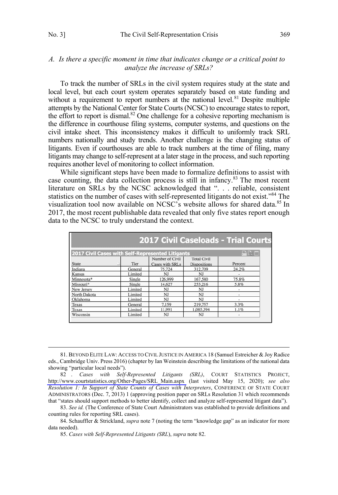## <span id="page-14-0"></span>*A. Is there a specific moment in time that indicates change or a critical point to analyze the increase of SRLs?*

To track the number of SRLs in the civil system requires study at the state and local level, but each court system operates separately based on state funding and without a requirement to report numbers at the national level.<sup>81</sup> Despite multiple attempts by the National Center for State Courts (NCSC) to encourage states to report, the effort to report is dismal.<sup>82</sup> One challenge for a cohesive reporting mechanism is the difference in courthouse filing systems, computer systems, and questions on the civil intake sheet. This inconsistency makes it difficult to uniformly track SRL numbers nationally and study trends. Another challenge is the changing status of litigants. Even if courthouses are able to track numbers at the time of filing, many litigants may change to self-represent at a later stage in the process, and such reporting requires another level of monitoring to collect information.

While significant steps have been made to formalize definitions to assist with case counting, the data collection process is still in infancy.<sup>83</sup> The most recent literature on SRLs by the NCSC acknowledged that ". . . reliable, consistent statistics on the number of cases with self-represented litigants do not exist."<sup>84</sup> The visualization tool now available on NCSC's website allows for shared data.<sup>85</sup> In 2017, the most recent publishable data revealed that only five states report enough data to the NCSC to truly understand the context.

| <b>2017 Civil Caseloads - Trial Courts</b>       |         |                 |                     |                              |  |  |  |
|--------------------------------------------------|---------|-----------------|---------------------|------------------------------|--|--|--|
| 2017 Civil Cases with Self-Represented Litigants |         |                 |                     | $\mathbb{H}$ by $\mathbb{H}$ |  |  |  |
|                                                  |         | Number of Civil | <b>Total Civil</b>  |                              |  |  |  |
| <b>State</b>                                     | Tier    | Cases with SRLs | <b>Dispositions</b> | Percent                      |  |  |  |
| Indiana                                          | General | 75,724          | 312,709             | 24.2%                        |  |  |  |
| Kansas                                           | Limited | NJ              | NJ                  |                              |  |  |  |
| Minnesota*                                       | Single  | 126.999         | 167.580             | 75.8%                        |  |  |  |
| Missouri*                                        | Single  | 14,627          | 253,216             | 5.8%                         |  |  |  |
| New Jersey                                       | Limited | NJ              | NJ                  |                              |  |  |  |
| North Dakota                                     | Limited | NJ              | NJ                  |                              |  |  |  |
| Oklahoma                                         | Limited | NJ              | NJ                  |                              |  |  |  |
| Texas                                            | General | 7.159           | 219,757             | 3.3%                         |  |  |  |
| Texas                                            | Limited | 11,991          | 1,085,394           | 1.1%                         |  |  |  |
| Wisconsin                                        | Limited | NJ              | NJ                  |                              |  |  |  |

 <sup>81.</sup> BEYOND ELITE LAW: ACCESS TO CIVIL JUSTICE IN AMERICA 18 (Samuel Estreicher & Joy Radice eds., Cambridge Univ. Press 2016) (chapter by Ian Weinstein describing the limitations of the national data showing "particular local needs").

<sup>82 .</sup> Cases with Self-Represented Litigants (SRL), COURT STATISTICS PROJECT, [http://www.courtstatistics.org/Other-Pages/SRL\\_Main.aspx](http://www.courtstatistics.org/Other-Pages/SRL_Main.aspx) (last visited May 15, 2020); *see also Resolution 1: In Support of State Counts of Cases with Interpreters*, CONFERENCE OF STATE COURT ADMINISTRATORS (Dec. 7, 2013) 1 (approving position paper on SRLs Resolution 31 which recommends that "states should support methods to better identify, collect and analyze self-represented litigant data").

<sup>83.</sup> *See id.* (The Conference of State Court Administrators was established to provide definitions and counting rules for reporting SRL cases).

<sup>84.</sup> Schauffler & Strickland, *supra* note 7 (noting the term "knowledge gap" as an indicator for more data needed).

<sup>85.</sup> *Cases with Self-Represented Litigants (SRL*), *supra* note 82.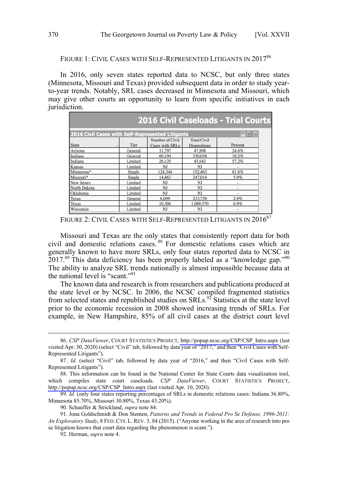## FIGURE 1: CIVIL CASES WITH SELF-REPRESENTED LITIGANTS IN 201786

In 2016, only seven states reported data to NCSC, but only three states (Minnesota, Missouri and Texas) provided subsequent data in order to study yearto-year trends. Notably, SRL cases decreased in Minnesota and Missouri, which may give other courts an opportunity to learn from specific initiatives in each jurisdiction.

|                                                  |               |                 |                     | <b>2016 Civil Caseloads - Trial Courts</b> |
|--------------------------------------------------|---------------|-----------------|---------------------|--------------------------------------------|
| 2016 Civil Cases with Self-Represented Litigants | $\Box R \Box$ |                 |                     |                                            |
|                                                  |               | Number of Civil | <b>Total Civil</b>  |                                            |
| <b>State</b>                                     | Tier          | Cases with SRLs | <b>Dispositions</b> | Percent                                    |
| Arizona                                          | General       | 11,797          | 47,898              | 24.6%                                      |
| Indiana                                          | General       | 60,194          | 330,058             | 18.2%                                      |
| Indiana                                          | Limited       | 26,129          | 45,642              | 57.2%                                      |
| Kansas                                           | Limited       | NJ              | NJ                  |                                            |
| Minnesota*                                       | Single        | 124.344         | 152,463             | 81.6%                                      |
| Missouri*                                        | Single        | 14,663          | 247,014             | 5.9%                                       |
| New Jersey                                       | Limited       | NJ              | NJ                  | ۰                                          |
| North Dakota                                     | Limited       | <b>NJ</b>       | <b>NJ</b>           | ٠                                          |
| Oklahoma                                         | Limited       | NJ              | NJ                  | ٠                                          |
| Texas                                            | General       | 6.099           | 213,739             | 2.9%                                       |
| Texas                                            | Limited       | 10.306          | 1.089.570           | 0.9%                                       |
| Wisconsin                                        | Limited       | NJ              | NJ                  | ٠                                          |

FIGURE 2: CIVIL CASES WITH SELF-REPRESENTED LITIGANTS IN 2016<sup>87</sup>

Missouri and Texas are the only states that consistently report data for both civil and domestic relations cases. <sup>88</sup> For domestic relations cases which are generally known to have more SRLs, only four states reported data to NCSC in  $2017<sup>89</sup>$  This data deficiency has been properly labeled as a "knowledge gap."<sup>90</sup> The ability to analyze SRL trends nationally is almost impossible because data at the national level is "scant."<sup>91</sup>

The known data and research is from researchers and publications produced at the state level or by NCSC. In 2006, the NCSC compiled fragmented statistics from selected states and republished studies on  $SRLs$ .<sup>92</sup> Statistics at the state level prior to the economic recession in 2008 showed increasing trends of SRLs. For example, in New Hampshire, 85% of all civil cases at the district court level

*CSP DataViewer*, COURT STATISTICS PROJECT, [http://popup.ncsc.org/CSP/CSP\\_Intro.aspx](http://popup.ncsc.org/CSP/CSP_Intro.aspx) (last 86. visited Apr. 30, 2020) (select "Civil" tab, followed by data year of "2017," and then "Civil Cases with Self-Represented Litigants").

<sup>87.</sup> *Id.* (select "Civil" tab, followed by data year of "2016," and then "Civil Cases with Self-Represented Litigants").

<sup>88.</sup>  This information can be found in the National Center for State Courts data visualization tool, which compiles state court caseloads. *CSP DataViewer*, COURT STATISTICS PROJECT, [http://popup.ncsc.org/CSP/CSP\\_Intro.aspx](http://popup.ncsc.org/CSP/CSP_Intro.aspx) (last visited Apr. 10, 2020).

<sup>89.</sup> *Id.* (only four states reporting percentages of SRLs in domestic relations cases: Indiana 36.80%, Minnesota 85.70%, Missouri 30.80%, Texas 43.20%).

<sup>90.</sup> Schauffer & Strickland, *supra* note 84.

<sup>91.</sup> Jona Goldschmidt & Don Stemen, *Patterns and Trends in Federal Pro Se Defense, 1996-2011: An Exploratory Study*, 8 FED. CTS. L. REV. 3, 84 (2015). ("Anyone working in the area of research into pro se litigation knows that court data regarding the phenomenon is scant.").

<sup>92.</sup> Herman, *supra* note 4.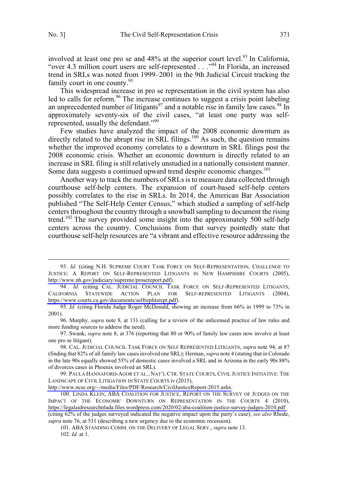involved at least one pro se and  $48\%$  at the superior court level.<sup>93</sup> In California, "over 4.3 million court users are self-represented . . ."94 In Florida, an increased trend in SRLs was noted from 1999–2001 in the 9th Judicial Circuit tracking the family court in one county.<sup>95</sup>

This widespread increase in pro se representation in the civil system has also led to calls for reform.<sup>96</sup> The increase continues to suggest a crisis point labeling an unprecedented number of litigants<sup>97</sup> and a notable rise in family law cases.<sup>98</sup> In approximately seventy-six of the civil cases, "at least one party was selfrepresented, usually the defendant."<sup>99</sup>

Few studies have analyzed the impact of the 2008 economic downturn as directly related to the abrupt rise in SRL filings.<sup>100</sup> As such, the question remains whether the improved economy correlates to a downturn in SRL filings post the 2008 economic crisis. Whether an economic downturn is directly related to an increase in SRL filing is still relatively unstudied in a nationally consistent manner. Some data suggests a continued upward trend despite economic changes.<sup>101</sup>

Another way to track the numbers of SRLs is to measure data collected through courthouse self-help centers. The expansion of court-based self-help centers possibly correlates to the rise in SRLs. In 2014, the American Bar Association published "The Self-Help Center Census," which studied a sampling of self-help centers throughout the country through a snowball sampling to document the rising trend.<sup>102</sup> The survey provided some insight into the approximately 500 self-help centers across the country. Conclusions from that survey pointedly state that courthouse self-help resources are "a vibrant and effective resource addressing the

[http://www.ncsc.org/~/media/Files/PDF/Research/CivilJusticeReport-2015.ashx.](http://www.ncsc.org/~/media/Files/PDF/Research/CivilJusticeReport-2015.ashx)

<sup>93.</sup> *Id.* (citing N.H. SUPREME COURT TASK FORCE ON SELF-REPRESENTATION, CHALLENGE TO JUSTICE: A REPORT ON SELF-REPRESENTED LITIGANTS IN NEW HAMPSHIRE COURTS (2005), [http://www.nh.gov/judiciary/supreme/prosereport.pdf\)](http://www.nh.gov/judiciary/supreme/prosereport.pdf).

<sup>94 .</sup> Id. (citing CAL. JUDICIAL COUNCIL TASK FORCE ON SELF-REPRESENTED LITIGANTS, CALIFORNIA STATEWIDE ACTION PLAN FOR SELF-REPRESENTED LITIGANTS (2004), [https://www.courts.ca.gov/documents/selfreplitsrept.pdf\)](https://www.courts.ca.gov/documents/selfreplitsrept.pdf).

<sup>95.</sup> *Id.* (citing Florida Judge Roger McDonald, showing an increase from 66% in 1999 to 73% in 2001).

<sup>96.</sup> Murphy*, supra* note 8*,* at 131 (calling for a review of the unlicensed practice of law rules and more funding sources to address the need).

<sup>97.</sup> Swank, *supra* note 8, at 376 (reporting that 80 or 90% of family law cases now involve at least one pro se litigant).

<sup>98.</sup> CAL. JUDICIAL COUNCIL TASK FORCE ON SELF REPRESENTED LITIGANTS, *supra* note 94, at 87 (finding that 82% of all family law cases involved one SRL); Herman, *supra* note 4 (stating that in Colorado in the late 90s equally showed 55% of domestic cases involved a SRL and in Arizona in the early 90s 88% of divorces cases in Phoenix involved an SRL).

<sup>99.</sup> PAULA HANNAFORD-AGOR ET AL., NAT'L CTR. STATE COURTS, CIVIL JUSTICE INITIATIVE: THE LANDSCAPE OF CIVIL LITIGATION IN STATE COURTS iv (2015),

<sup>100.</sup> LINDA KLEIN, ABA COALITION FOR JUSTICE, REPORT ON THE SURVEY OF JUDGES ON THE IMPACT OF THE ECONOMIC DOWNTURN ON REPRESENTATION IN THE COURTS 4 (2010), <https://legalaidresearchnlada.files.wordpress.com/2020/02/aba-coalition-justice-survey-judges-2010.pdf> (citing 62% of the judges surveyed indicated the negative impact upon the party's case); *see also* Rhode, *supra* note 76, at 531 (describing a new urgency due to the economic recession).

<sup>101.</sup> ABA STANDING COMM. ON THE DELIVERY OF LEGAL SERV., *supra* note 13. 102. *Id.* at 1.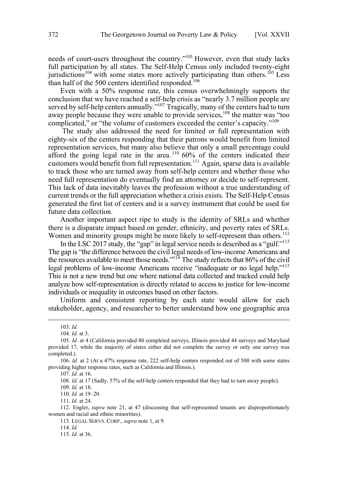needs of court-users throughout the country."103 However, even that study lacks full participation by all states. The Self-Help Census only included twenty-eight jurisdictions<sup>104</sup> with some states more actively participating than others.<sup>105</sup> Less than half of the 500 centers identified responded.<sup>106</sup>

Even with a 50% response rate, this census overwhelmingly supports the conclusion that we have reached a self-help crisis as "nearly 3.7 million people are served by self-help centers annually."<sup>107</sup> Tragically, many of the centers had to turn away people because they were unable to provide services,<sup>108</sup> the matter was "too complicated," or "the volume of customers exceeded the center's capacity."109

 The study also addressed the need for limited or full representation with eighty-six of the centers responding that their patrons would benefit from limited representation services, but many also believe that only a small percentage could afford the going legal rate in the area.<sup>110</sup> 60% of the centers indicated their customers would benefit from full representation.<sup>111</sup> Again, sparse data is available to track those who are turned away from self-help centers and whether those who need full representation do eventually find an attorney or decide to self-represent. This lack of data inevitably leaves the profession without a true understanding of current trends or the full appreciation whether a crisis exists. The Self-Help Census generated the first list of centers and is a survey instrument that could be used for future data collection.

Another important aspect ripe to study is the identity of SRLs and whether there is a disparate impact based on gender, ethnicity, and poverty rates of SRLs. Women and minority groups might be more likely to self-represent than others.<sup>112</sup>

In the LSC 2017 study, the "gap" in legal service needs is described as a "gulf."113 The gap is "the difference between the civil legal needs of low-income Americans and the resources available to meet those needs."<sup>114</sup> The study reflects that 86% of the civil legal problems of low-income Americans receive "inadequate or no legal help."<sup>115</sup> This is not a new trend but one where national data collected and tracked could help analyze how self-representation is directly related to access to justice for low-income individuals or inequality in outcomes based on other factors.

Uniform and consistent reporting by each state would allow for each stakeholder, agency, and researcher to better understand how one geographic area

108. *Id.* at 17 (Sadly, 57% of the self-help centers responded that they had to turn away people).

109. *Id.* at 18.

110. *Id.* at 19–20.

111. *Id.* at 24.

112. Engler, *supra* note 21, at 47 (discussing that self-represented tenants are disproportionately women and racial and ethnic minorities).

113. LEGAL SERVS. CORP., *supra* note 1, at 9.

114. *Id.*

115. *Id.* at 36.

 <sup>103.</sup> *Id.* 

<sup>104.</sup> *Id.* at 3.

<sup>105.</sup> *Id.* at 4 (California provided 80 completed surveys, Illinois provided 44 surveys and Maryland provided 17, while the majority of states either did not complete the survey or only one survey was completed.).

<sup>106.</sup> *Id.* at 2 (At a 47% response rate, 222 self-help centers responded out of 500 with some states providing higher response rates, such as California and Illinois.).

<sup>107.</sup> *Id.* at 16.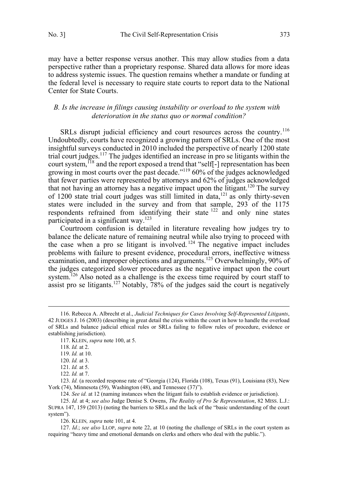<span id="page-18-0"></span>may have a better response versus another. This may allow studies from a data perspective rather than a proprietary response. Shared data allows for more ideas to address systemic issues. The question remains whether a mandate or funding at the federal level is necessary to require state courts to report data to the National Center for State Courts.

## *B. Is the increase in filings causing instability or overload to the system with deterioration in the status quo or normal condition?*

SRLs disrupt judicial efficiency and court resources across the country.<sup>116</sup> Undoubtedly, courts have recognized a growing pattern of SRLs. One of the most insightful surveys conducted in 2010 included the perspective of nearly 1200 state trial court judges.<sup>117</sup> The judges identified an increase in pro se litigants within the court system, <sup>118</sup> and the report exposed a trend that "self<sup>-</sup>] representation has been growing in most courts over the past decade."<sup>119</sup> 60% of the judges acknowledged that fewer parties were represented by attorneys and 62% of judges acknowledged that not having an attorney has a negative impact upon the litigant.<sup>120</sup> The survey of 1200 state trial court judges was still limited in data,121 as only thirty-seven states were included in the survey and from that sample, 293 of the 1175 respondents refrained from identifying their state  $122$  and only nine states participated in a significant way.<sup>123</sup>

Courtroom confusion is detailed in literature revealing how judges try to balance the delicate nature of remaining neutral while also trying to proceed with the case when a pro se litigant is involved.<sup>124</sup> The negative impact includes problems with failure to present evidence, procedural errors, ineffective witness examination, and improper objections and arguments.<sup>125</sup> Overwhelmingly, 90% of the judges categorized slower procedures as the negative impact upon the court system.<sup>126</sup> Also noted as a challenge is the excess time required by court staff to assist pro se litigants.<sup>127</sup> Notably,  $78%$  of the judges said the court is negatively

 <sup>116.</sup> Rebecca A. Albrecht et al., *Judicial Techniques for Cases Involving Self-Represented Litigants*, 42 JUDGES J. 16 (2003) (describing in great detail the crisis within the court in how to handle the overload of SRLs and balance judicial ethical rules or SRLs failing to follow rules of procedure, evidence or establishing jurisdiction).

<sup>117.</sup> KLEIN, *supra* note 100, at 5.

<sup>118.</sup> *Id.* at 2.

<sup>119.</sup> *Id.* at 10.

<sup>120.</sup> *Id.* at 3.

<sup>121.</sup> *Id.* at 5.

<sup>122.</sup> *Id.* at 7.

<sup>123.</sup> *Id.* (a recorded response rate of "Georgia (124), Florida (108), Texas (91), Louisiana (83), New York (74), Minnesota (59), Washington (48), and Tennessee (37)").

<sup>124.</sup> *See id.* at 12 (naming instances when the litigant fails to establish evidence or jurisdiction).

<sup>125.</sup> *Id.* at 4; *see also* Judge Denise S. Owens, *The Reality of Pro Se Representation*, 82 MISS. L.J.: SUPRA 147, 159 (2013) (noting the barriers to SRLs and the lack of the "basic understanding of the court system").

<sup>126.</sup> KLEIN*, supra* note 101, at 4.

<sup>127.</sup> *Id*.; *see also* LLOP, *supra* note 22, at 10 (noting the challenge of SRLs in the court system as requiring "heavy time and emotional demands on clerks and others who deal with the public.").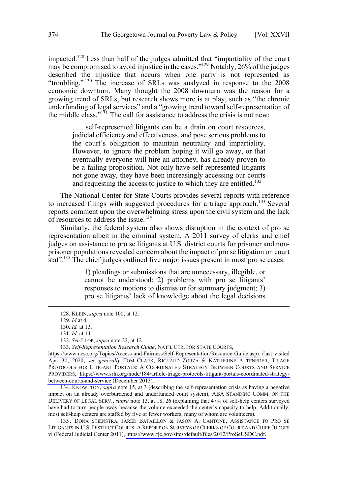impacted.<sup>128</sup> Less than half of the judges admitted that "impartiality of the court may be compromised to avoid injustice in the cases."<sup>129</sup> Notably, 26% of the judges described the injustice that occurs when one party is not represented as "troubling." 130 The increase of SRLs was analyzed in response to the 2008 economic downturn. Many thought the 2008 downturn was the reason for a growing trend of SRLs, but research shows more is at play, such as "the chronic underfunding of legal services" and a "growing trend toward self-representation of the middle class." $131$  The call for assistance to address the crisis is not new:

. . . self-represented litigants can be a drain on court resources, judicial efficiency and effectiveness, and pose serious problems to the court's obligation to maintain neutrality and impartiality. However, to ignore the problem hoping it will go away, or that eventually everyone will hire an attorney, has already proven to be a failing proposition. Not only have self-represented litigants not gone away, they have been increasingly accessing our courts and requesting the access to justice to which they are entitled. 132

The National Center for State Courts provides several reports with reference to increased filings with suggested procedures for a triage approach.<sup>133</sup> Several reports comment upon the overwhelming stress upon the civil system and the lack of resources to address the issue.<sup>134</sup>

Similarly, the federal system also shows disruption in the context of pro se representation albeit in the criminal system. A 2011 survey of clerks and chief judges on assistance to pro se litigants at U.S. district courts for prisoner and nonprisoner populations revealed concern about the impact of pro se litigation on court staff.<sup>135</sup> The chief judges outlined five major issues present in most pro se cases:

> 1) pleadings or submissions that are unnecessary, illegible, or cannot be understood; 2) problems with pro se litigants' responses to motions to dismiss or for summary judgment; 3) pro se litigants' lack of knowledge about the legal decisions

134. KNOWLTON, *supra* note 15, at 3 (describing the self-representation crisis as having a negative impact on an already overburdened and underfunded court system); ABA STANDING COMM. ON THE DELIVERY OF LEGAL SERV., *supra* note 13, at 18, 26 (explaining that 47% of self-help centers surveyed have had to turn people away because the volume exceeded the center's capacity to help. Additionally, most self-help centers are staffed by five or fewer workers, many of whom are volunteers).

135. DONA STIENSTRA, JARED BATAILLON & JASON A. CANTONE, ASSISTANCE TO PRO SE LITIGANTS IN U.S. DISTRICT COURTS: A REPORT ON SURVEYS OF CLERKS OF COURT AND CHIEF JUDGES vi (Federal Judicial Center 2011), [https://www.fjc.gov/sites/default/files/2012/ProSeUSDC.pdf.](https://www.fjc.gov/sites/default/files/2012/ProSeUSDC.pdf)

 <sup>128.</sup> KLEIN, *supra* note 100, at 12.

<sup>129.</sup> *Id* at 4*.*

<sup>130.</sup> *Id.* at 13.

<sup>131.</sup> *Id.* at 14.

<sup>132.</sup> *See* LLOP, *supra* note 22, at 12.

<sup>133.</sup> Self-Representation Research Guide, NAT'L CTR. FOR STATE COURTS,

<https://www.ncsc.org/Topics/Access-and-Fairness/Self-Representation/Resource-Guide.aspx>(last visited Apr. 30, 2020; *see generally* TOM CLARK, RICHARD ZORZA & KATHERINE ALTENEDER, TRIAGE PROTOCOLS FOR LITIGANT PORTALS: A COORDINATED STRATEGY BETWEEN COURTS AND SERVICE PROVIDERS, [https://www.srln.org/node/184/article-triage-protocols-litigant-portals-coordinated-strategy](https://www.srln.org/node/184/article-triage-protocols-litigant-portals-coordinated-strategybetween-courts-and-service)[between-courts-and-service](https://www.srln.org/node/184/article-triage-protocols-litigant-portals-coordinated-strategybetween-courts-and-service) (December 2013).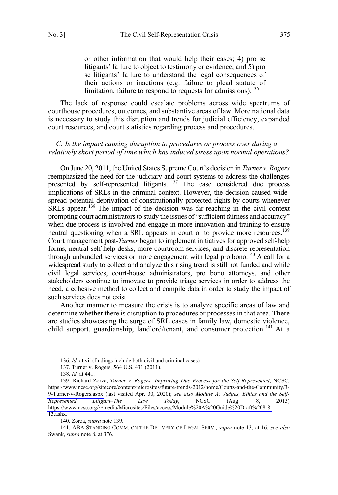<span id="page-20-0"></span>or other information that would help their cases; 4) pro se litigants' failure to object to testimony or evidence; and 5) pro se litigants' failure to understand the legal consequences of their actions or inactions (e.g. failure to plead statute of limitation, failure to respond to requests for admissions).<sup>136</sup>

The lack of response could escalate problems across wide spectrums of courthouse procedures, outcomes, and substantive areas of law. More national data is necessary to study this disruption and trends for judicial efficiency, expanded court resources, and court statistics regarding process and procedures.

## *C. Is the impact causing disruption to procedures or process over during a relatively short period of time which has induced stress upon normal operations?*

On June 20, 2011, the United States Supreme Court's decision in *Turner v. Rogers* reemphasized the need for the judiciary and court systems to address the challenges presented by self-represented litigants. <sup>137</sup> The case considered due process implications of SRLs in the criminal context. However, the decision caused widespread potential deprivation of constitutionally protected rights by courts whenever SRLs appear.<sup>138</sup> The impact of the decision was far-reaching in the civil context prompting court administrators to study the issues of "sufficient fairness and accuracy" when due process is involved and engage in more innovation and training to ensure neutral questioning when a SRL appears in court or to provide more resources.<sup>139</sup> Court management post-*Turner* began to implement initiatives for approved self-help forms, neutral self-help desks, more courtroom services, and discrete representation through unbundled services or more engagement with legal pro bono.<sup>140</sup> A call for a widespread study to collect and analyze this rising trend is still not funded and while civil legal services, court-house administrators, pro bono attorneys, and other stakeholders continue to innovate to provide triage services in order to address the need, a cohesive method to collect and compile data in order to study the impact of such services does not exist.

Another manner to measure the crisis is to analyze specific areas of law and determine whether there is disruption to procedures or processes in that area. There are studies showcasing the surge of SRL cases in family law, domestic violence, child support, guardianship, landlord/tenant, and consumer protection.<sup>141</sup> At a

140. Zorza, *supra* note 139.

141. ABA STANDING COMM. ON THE DELIVERY OF LEGAL SERV., *supra* note 13, at 16; *see also* Swank, *supra* note 8, at 376.

 <sup>136.</sup> *Id.* at vii (findings include both civil and criminal cases).

<sup>137.</sup> Turner v. Rogers, 564 U.S. 431 (2011).

<sup>138.</sup> *Id.* at 441.

<sup>139.</sup> Richard Zorza, *Turner v. Rogers: Improving Due Process for the Self-Represented*, NCSC, [https://www.ncsc.org/sitecore/content/microsites/future-trends-2012/home/Courts-and-the-Community/3-](https://www.ncsc.org/sitecore/content/microsites/future-trends-2012/home/Courts-and-the-Community/3-9-Turner-v-Rogers.aspx) [9-Turner-v-Rogers.aspx](https://www.ncsc.org/sitecore/content/microsites/future-trends-2012/home/Courts-and-the-Community/3-9-Turner-v-Rogers.aspx) (last visited Apr. 30, 2020); *see also Module A: Judges, Ethics and the Self-Represented Litigant–The Law Today*, NCSC (Aug. 8, 2013) [https://www.ncsc.org/~/media/Microsites/Files/access/Module%20A%20Guide%20Draft%208-8-](https://www.ncsc.org/~/media/Microsites/Files/access/Module%20A%20Guide%20Draft%208-8-13.ashx) [13.ashx](https://www.ncsc.org/~/media/Microsites/Files/access/Module%20A%20Guide%20Draft%208-8-13.ashx)*.*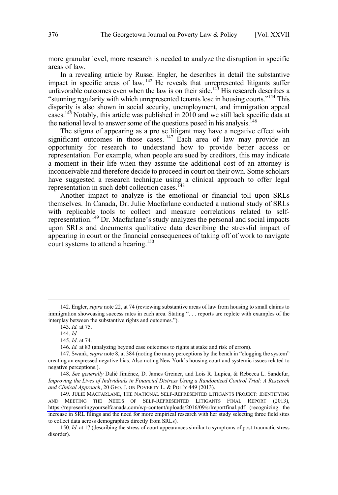more granular level, more research is needed to analyze the disruption in specific areas of law.

In a revealing article by Russel Engler, he describes in detail the substantive impact in specific areas of law. 142 He reveals that unrepresented litigants suffer unfavorable outcomes even when the law is on their side.<sup>143</sup> His research describes a "stunning regularity with which unrepresented tenants lose in housing courts."144 This disparity is also shown in social security, unemployment, and immigration appeal cases.<sup>145</sup> Notably, this article was published in  $2010$  and we still lack specific data at the national level to answer some of the questions posed in his analysis.<sup>146</sup>

The stigma of appearing as a pro se litigant may have a negative effect with significant outcomes in those cases. <sup>147</sup> Each area of law may provide an opportunity for research to understand how to provide better access or representation. For example, when people are sued by creditors, this may indicate a moment in their life when they assume the additional cost of an attorney is inconceivable and therefore decide to proceed in court on their own. Some scholars have suggested a research technique using a clinical approach to offer legal representation in such debt collection cases.<sup>148</sup>

Another impact to analyze is the emotional or financial toll upon SRLs themselves. In Canada, Dr. Julie Macfarlane conducted a national study of SRLs with replicable tools to collect and measure correlations related to selfrepresentation.<sup>149</sup> Dr. Macfarlane's study analyzes the personal and social impacts upon SRLs and documents qualitative data describing the stressful impact of appearing in court or the financial consequences of taking off of work to navigate court systems to attend a hearing.<sup>150</sup>

 <sup>142.</sup> Engler, *supra* note 22, at 74 (reviewing substantive areas of law from housing to small claims to immigration showcasing success rates in each area. Stating ". . . reports are replete with examples of the interplay between the substantive rights and outcomes.").

<sup>143.</sup> *Id.* at 75.

<sup>144.</sup> *Id.* 

<sup>145.</sup> *Id*. at 74.

<sup>146.</sup> *Id.* at 83 (analyzing beyond case outcomes to rights at stake and risk of errors).

<sup>147.</sup> Swank, *supra* note 8, at 384 (noting the many perceptions by the bench in "clogging the system" creating an expressed negative bias. Also noting New York's housing court and systemic issues related to negative perceptions.).

<sup>148.</sup> *See generally* Dalié Jiménez, D. James Greiner, and Lois R. Lupica, & Rebecca L. Sandefur, *Improving the Lives of Individuals in Financial Distress Using a Randomized Control Trial: A Research and Clinical Approach*, 20 GEO. J. ON POVERTY L. & POL'Y 449 (2013).

<sup>149.</sup> JULIE MACFARLANE, THE NATIONAL SELF-REPRESENTED LITIGANTS PROJECT: IDENTIFYING AND MEETING THE NEEDS OF SELF-REPRESENTED LITIGANTS FINAL REPORT (2013), <https://representingyourselfcanada.com/wp-content/uploads/2016/09/srlreportfinal.pdf>(recognizing the increase in SRL filings and the need for more empirical research with her study selecting three field sites to collect data across demographics directly from SRLs).

<sup>150.</sup> *Id*. at 17 (describing the stress of court appearances similar to symptoms of post-traumatic stress disorder).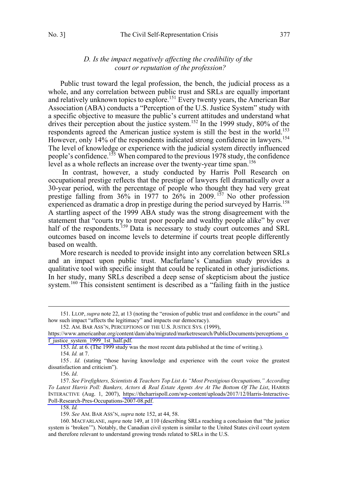## *D. Is the impact negatively affecting the credibility of the court or reputation of the profession?*

<span id="page-22-0"></span>Public trust toward the legal profession, the bench, the judicial process as a whole, and any correlation between public trust and SRLs are equally important and relatively unknown topics to explore.<sup>151</sup> Every twenty years, the American Bar Association (ABA) conducts a "Perception of the U.S. Justice System" study with a specific objective to measure the public's current attitudes and understand what drives their perception about the justice system.<sup>152</sup> In the 1999 study, 80% of the respondents agreed the American justice system is still the best in the world.<sup>153</sup> However, only 14% of the respondents indicated strong confidence in lawyers.<sup>154</sup> The level of knowledge or experience with the judicial system directly influenced people's confidence.<sup>155</sup> When compared to the previous 1978 study, the confidence level as a whole reflects an increase over the twenty-year time span.<sup>156</sup>

 In contrast, however, a study conducted by Harris Poll Research on occupational prestige reflects that the prestige of lawyers fell dramatically over a 30-year period, with the percentage of people who thought they had very great prestige falling from  $36\%$  in 1977 to  $26\%$  in 2009.<sup>157</sup> No other profession experienced as dramatic a drop in prestige during the period surveyed by Harris.<sup>158</sup> A startling aspect of the 1999 ABA study was the strong disagreement with the statement that "courts try to treat poor people and wealthy people alike" by over half of the respondents.<sup>159</sup> Data is necessary to study court outcomes and SRL outcomes based on income levels to determine if courts treat people differently based on wealth.

More research is needed to provide insight into any correlation between SRLs and an impact upon public trust. Macfarlane's Canadian study provides a qualitative tool with specific insight that could be replicated in other jurisdictions. In her study, many SRLs described a deep sense of skepticism about the justice system.<sup>160</sup> This consistent sentiment is described as a "failing faith in the justice

158. *Id.* 

 <sup>151.</sup> LLOP, *supra* note 22, at 13 (noting the "erosion of public trust and confidence in the courts" and how such impact "affects the legitimacy" and impacts our democracy).

<sup>152.</sup> AM. BAR ASS'N, PERCEPTIONS OF THE U.S. JUSTICE SYS. (1999),

[https://www.americanbar.org/content/dam/aba/migrated/marketresearch/PublicDocuments/perceptions\\_o](https://www.americanbar.org/content/dam/aba/migrated/marketresearch/PublicDocuments/perceptions_of_justice_system_1999_1st_half.pdf) [f\\_justice\\_system\\_1999\\_1st\\_half.pdf.](https://www.americanbar.org/content/dam/aba/migrated/marketresearch/PublicDocuments/perceptions_of_justice_system_1999_1st_half.pdf)

<sup>153.</sup> *Id*. at 6. (The 1999 study was the most recent data published at the time of writing.).

<sup>154.</sup> *Id.* at 7.

<sup>155 .</sup> *Id.* (stating "those having knowledge and experience with the court voice the greatest dissatisfaction and criticism").

<sup>156.</sup> *Id*.

<sup>157.</sup> See Firefighters, Scientists & Teachers Top List As "Most Prestigious Occupations," According *To Latest Harris Poll: Bankers, Actors & Real Estate Agents Are At The Bottom Of The List*, HARRIS INTERACTIVE (Aug. 1, 2007), [https://theharrispoll.com/wp-content/uploads/2017/12/Harris-Interactive-](https://theharrispoll.com/wp-content/uploads/2017/12/Harris-Interactive-Poll-Research-Pres-Occupations-2007-08.pdf)[Poll-Research-Pres-Occupations-2007-08.pdf.](https://theharrispoll.com/wp-content/uploads/2017/12/Harris-Interactive-Poll-Research-Pres-Occupations-2007-08.pdf)

<sup>159.</sup> *See* AM. BAR ASS'N, *supra* note 152, at 44, 58.

<sup>160.</sup> MACFARLANE, *supra* note 149, at 110 (describing SRLs reaching a conclusion that "the justice system is 'broken'"). Notably, the Canadian civil system is similar to the United States civil court system and therefore relevant to understand growing trends related to SRLs in the U.S.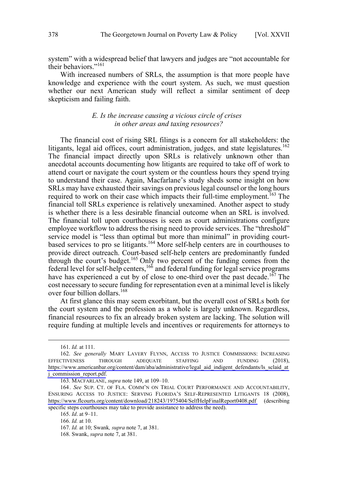<span id="page-23-0"></span>system" with a widespread belief that lawyers and judges are "not accountable for their behaviors."<sup>161</sup>

With increased numbers of SRLs, the assumption is that more people have knowledge and experience with the court system. As such, we must question whether our next American study will reflect a similar sentiment of deep skepticism and failing faith.

## *E. Is the increase causing a vicious circle of crises in other areas and taxing resources?*

The financial cost of rising SRL filings is a concern for all stakeholders: the litigants, legal aid offices, court administration, judges, and state legislatures.<sup>162</sup> The financial impact directly upon SRLs is relatively unknown other than anecdotal accounts documenting how litigants are required to take off of work to attend court or navigate the court system or the countless hours they spend trying to understand their case. Again, Macfarlane's study sheds some insight on how SRLs may have exhausted their savings on previous legal counsel or the long hours required to work on their case which impacts their full-time employment.<sup>163</sup> The financial toll SRLs experience is relatively unexamined. Another aspect to study is whether there is a less desirable financial outcome when an SRL is involved. The financial toll upon courthouses is seen as court administrations configure employee workflow to address the rising need to provide services. The "threshold" service model is "less than optimal but more than minimal" in providing courtbased services to pro se litigants.<sup>164</sup> More self-help centers are in courthouses to provide direct outreach. Court-based self-help centers are predominantly funded through the court's budget.<sup>165</sup> Only two percent of the funding comes from the federal level for self-help centers,  $166$  and federal funding for legal service programs have has experienced a cut by of close to one-third over the past decade.<sup>167</sup> The cost necessary to secure funding for representation even at a minimal level is likely over four billion dollars.168

At first glance this may seem exorbitant, but the overall cost of SRLs both for the court system and the profession as a whole is largely unknown. Regardless, financial resources to fix an already broken system are lacking. The solution will require funding at multiple levels and incentives or requirements for attorneys to

<sup>161.</sup> *Id.* at 111.

<sup>162.</sup> See generally MARY LAVERY FLYNN, ACCESS TO JUSTICE COMMISSIONS: INCREASING EFFECTIVENESS THROUGH ADEQUATE STAFFING AND FUNDING (2018), [https://www.americanbar.org/content/dam/aba/administrative/legal\\_aid\\_indigent\\_defendants/ls\\_sclaid\\_at](https://www.americanbar.org/content/dam/aba/administrative/legal_aid_indigent_defendants/ls_sclaid_atj_commission_report.pdf) [j\\_commission\\_report.pdf.](https://www.americanbar.org/content/dam/aba/administrative/legal_aid_indigent_defendants/ls_sclaid_atj_commission_report.pdf)

<sup>163.</sup> MACFARLANE, *supra* note 149, at 109–10.

<sup>164.</sup> See SUP. CT. OF FLA. COMM'N ON TRIAL COURT PERFORMANCE AND ACCOUNTABILITY, ENSURING ACCESS TO JUSTICE: SERVING FLORIDA'S SELF-REPRESENTED LITIGANTS 18 (2008), <https://www.flcourts.org/content/download/218243/1975404/SelfHelpFinalReport0408.pdf>(describing specific steps courthouses may take to provide assistance to address the need).

<sup>165.</sup> *Id*. at 9–11.

<sup>166.</sup> *Id.* at 10.

*Id.* at 10; Swank*, supra* note 7, at 381. 167.

<sup>168.</sup> Swank, *supra* note 7, at 381.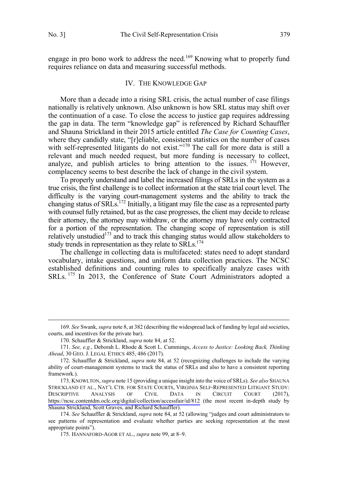<span id="page-24-0"></span>engage in pro bono work to address the need.<sup>169</sup> Knowing what to properly fund requires reliance on data and measuring successful methods.

#### IV. THE KNOWLEDGE GAP

More than a decade into a rising SRL crisis, the actual number of case filings nationally is relatively unknown. Also unknown is how SRL status may shift over the continuation of a case. To close the access to justice gap requires addressing the gap in data. The term "knowledge gap" is referenced by Richard Schauffler and Shauna Strickland in their 2015 article entitled *The Case for Counting Cases*, where they candidly state, "[r]eliable, consistent statistics on the number of cases with self-represented litigants do not exist."<sup>170</sup> The call for more data is still a relevant and much needed request, but more funding is necessary to collect, analyze, and publish articles to bring attention to the issues.  $171$  However, complacency seems to best describe the lack of change in the civil system.

To properly understand and label the increased filings of SRLs in the system as a true crisis, the first challenge is to collect information at the state trial court level. The difficulty is the varying court-management systems and the ability to track the changing status of SRLs.<sup>172</sup> Initially, a litigant may file the case as a represented party with counsel fully retained, but as the case progresses, the client may decide to release their attorney, the attorney may withdraw, or the attorney may have only contracted for a portion of the representation. The changing scope of representation is still relatively unstudied<sup>173</sup> and to track this changing status would allow stakeholders to study trends in representation as they relate to SRLs.<sup>174</sup>

The challenge in collecting data is multifaceted: states need to adopt standard vocabulary, intake questions, and uniform data collection practices. The NCSC established definitions and counting rules to specifically analyze cases with SRLs. 175 In 2013, the Conference of State Court Administrators adopted a

 <sup>169.</sup> *See* Swank, *supra* note 8, at 382 (describing the widespread lack of funding by legal aid societies, courts, and incentives for the private bar).

<sup>170.</sup> Schauffler & Strickland, *supra* note 84, at 52.

<sup>171.</sup> *See, e.g.*, Deborah L. Rhode & Scott L. Cummings, *Access to Justice: Looking Back, Thinking Ahead*, 30 GEO. J. LEGAL ETHICS 485, 486 (2017).

<sup>172.</sup> Schauffler & Strickland, *supra* note 84, at 52 (recognizing challenges to include the varying ability of court-management systems to track the status of SRLs and also to have a consistent reporting framework.).

<sup>173.</sup> KNOWLTON, *supra* note 15 (providing a unique insight into the voice of SRLs). *See also* SHAUNA STRICKLAND ET AL., NAT'L CTR. FOR STATE COURTS, VIRGINIA SELF-REPRESENTED LITIGANT STUDY: DESCRIPTIVE ANALYSIS OF CIVIL DATA IN CIRCUIT COURT (2017), <https://ncsc.contentdm.oclc.org/digital/collection/accessfair/id/812>(the most recent in-depth study by Shauna Strickland, Scott Graves, and Richard Schauffler).

<sup>174.</sup> *See* Schauffler & Strickland, *supra* note 84, at 52 (allowing "judges and court administrators to see patterns of representation and evaluate whether parties are seeking representation at the most appropriate points").

<sup>175.</sup> HANNAFORD-AGOR ET AL., *supra* note 99, at 8–9.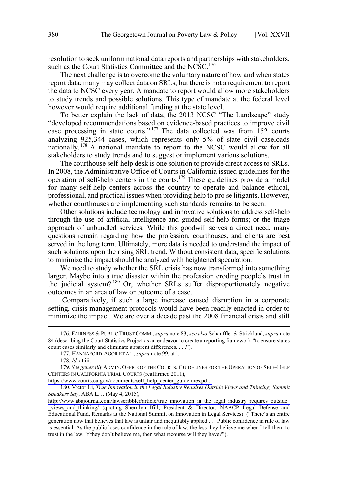resolution to seek uniform national data reports and partnerships with stakeholders, such as the Court Statistics Committee and the NCSC.<sup>176</sup>

The next challenge is to overcome the voluntary nature of how and when states report data; many may collect data on SRLs, but there is not a requirement to report the data to NCSC every year. A mandate to report would allow more stakeholders to study trends and possible solutions. This type of mandate at the federal level however would require additional funding at the state level.

To better explain the lack of data, the 2013 NCSC "The Landscape" study "developed recommendations based on evidence-based practices to improve civil case processing in state courts."<sup>177</sup> The data collected was from 152 courts analyzing 925,344 cases, which represents only 5% of state civil caseloads nationally. <sup>178</sup> A national mandate to report to the NCSC would allow for all stakeholders to study trends and to suggest or implement various solutions.

The courthouse self-help desk is one solution to provide direct access to SRLs. In 2008, the Administrative Office of Courts in California issued guidelines for the operation of self-help centers in the courts.<sup>179</sup> These guidelines provide a model for many self-help centers across the country to operate and balance ethical, professional, and practical issues when providing help to pro se litigants. However, whether courthouses are implementing such standards remains to be seen.

Other solutions include technology and innovative solutions to address self-help through the use of artificial intelligence and guided self-help forms; or the triage approach of unbundled services. While this goodwill serves a direct need, many questions remain regarding how the profession, courthouses, and clients are best served in the long term. Ultimately, more data is needed to understand the impact of such solutions upon the rising SRL trend. Without consistent data, specific solutions to minimize the impact should be analyzed with heightened speculation.

We need to study whether the SRL crisis has now transformed into something larger. Maybe into a true disaster within the profession eroding people's trust in the judicial system?<sup>180</sup> Or, whether SRLs suffer disproportionately negative outcomes in an area of law or outcome of a case.

Comparatively, if such a large increase caused disruption in a corporate setting, crisis management protocols would have been readily enacted in order to minimize the impact. We are over a decade past the 2008 financial crisis and still

 <sup>176.</sup> FAIRNESS & PUBLIC TRUST COMM., *supra* note 83; *see also* Schauffler & Strickland, *supra* note 84 (describing the Court Statistics Project as an endeavor to create a reporting framework "to ensure states count cases similarly and eliminate apparent differences. . . .").

<sup>177.</sup> HANNAFORD-AGOR ET AL., *supra* note 99, at i.

<sup>178.</sup> *Id.* at iii.

<sup>179.</sup> See generally ADMIN. OFFICE OF THE COURTS, GUIDELINES FOR THE OPERATION OF SELF-HELP CENTERS IN CALIFORNIA TRIAL COURTS (reaffirmed 2011),

[https://www.courts.ca.gov/documents/self\\_help\\_center\\_guidelines.pdf.](https://www.courts.ca.gov/documents/self_help_center_guidelines.pdf) 

<sup>180.</sup> Victor Li, *True Innovation in the Legal Industry Requires Outside Views and Thinking, Summit Speakers Say*, ABA L. J. (May 4, 2015),

[http://www.abajournal.com/lawscribbler/article/true\\_innovation\\_in\\_the\\_legal\\_industry\\_requires\\_outside](http://www.abajournal.com/lawscribbler/article/true_innovation_in_the_legal_industry_requires_outside_views_and_thinking/) views and thinking/ (quoting Sherrilyn Ifill, President & Director, NAACP Legal Defense and Educational Fund, Remarks at the National Summit on Innovation in Legal Services) ("There's an entire generation now that believes that law is unfair and inequitably applied . . . Public confidence in rule of law is essential. As the public loses confidence in the rule of law, the less they believe me when I tell them to trust in the law. If they don't believe me, then what recourse will they have?").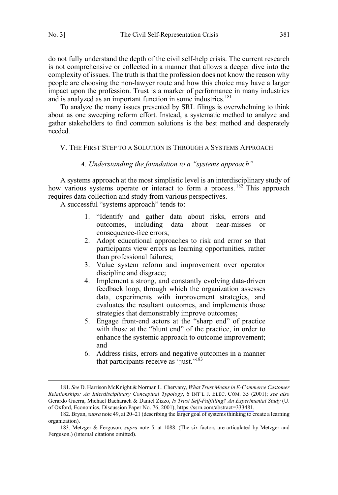$\overline{a}$ 

do not fully understand the depth of the civil self-help crisis. The current research is not comprehensive or collected in a manner that allows a deeper dive into the complexity of issues. The truth is that the profession does not know the reason why people are choosing the non-lawyer route and how this choice may have a larger impact upon the profession. Trust is a marker of performance in many industries and is analyzed as an important function in some industries.<sup>181</sup>

To analyze the many issues presented by SRL filings is overwhelming to think about as one sweeping reform effort. Instead, a systematic method to analyze and gather stakeholders to find common solutions is the best method and desperately needed.

### V. THE FIRST STEP TO A SOLUTION IS THROUGH A SYSTEMS APPROACH

#### *A. Understanding the foundation to a "systems approach"*

A systems approach at the most simplistic level is an interdisciplinary study of how various systems operate or interact to form a process.<sup>182</sup> This approach requires data collection and study from various perspectives.

A successful "systems approach" tends to:

- 1. "Identify and gather data about risks, errors and outcomes, including data about near-misses or consequence-free errors;
- 2. Adopt educational approaches to risk and error so that participants view errors as learning opportunities, rather than professional failures;
- 3. Value system reform and improvement over operator discipline and disgrace;
- 4. Implement a strong, and constantly evolving data-driven feedback loop, through which the organization assesses data, experiments with improvement strategies, and evaluates the resultant outcomes, and implements those strategies that demonstrably improve outcomes;
- 5. Engage front-end actors at the "sharp end" of practice with those at the "blunt end" of the practice, in order to enhance the systemic approach to outcome improvement; and
- 6. Address risks, errors and negative outcomes in a manner that participants receive as "just."<sup>183</sup>

<sup>181.</sup> *See* D. Harrison McKnight & Norman L. Chervany, *What Trust Means in E-Commerce Customer Relationships: An Interdisciplinary Conceptual Typology*, 6 INT'L J. ELEC. COM. 35 (2001); *see also* Gerardo Guerra, Michael Bacharach & Daniel Zizzo, *Is Trust Self-Fulfilling? An Experimental Study* (U. of Oxford, Economics, Discussion Paper No. 76, 2001), [https://ssrn.com/abstract=333481.](https://ssrn.com/abstract=333481)

<sup>182.</sup> Bryan, *supra* note 49, at 20–21 (describing the larger goal of systems thinking to create a learning organization).

<sup>183.</sup> Metzger & Ferguson, *supra* note 5, at 1088. (The six factors are articulated by Metzger and Ferguson.) (internal citations omitted).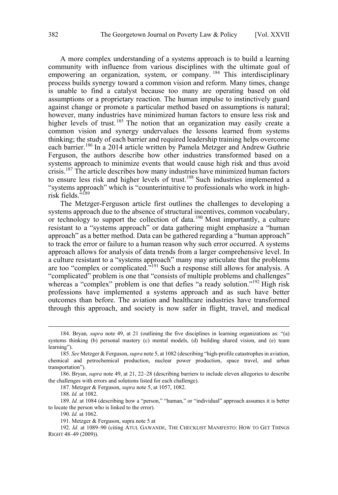A more complex understanding of a systems approach is to build a learning community with influence from various disciplines with the ultimate goal of empowering an organization, system, or company.<sup>184</sup> This interdisciplinary process builds synergy toward a common vision and reform. Many times, change is unable to find a catalyst because too many are operating based on old assumptions or a proprietary reaction. The human impulse to instinctively guard against change or promote a particular method based on assumptions is natural; however, many industries have minimized human factors to ensure less risk and higher levels of trust.<sup>185</sup> The notion that an organization may easily create a common vision and synergy undervalues the lessons learned from systems thinking; the study of each barrier and required leadership training helps overcome each barrier.<sup>186</sup> In a 2014 article written by Pamela Metzger and Andrew Guthrie Ferguson, the authors describe how other industries transformed based on a systems approach to minimize events that would cause high risk and thus avoid crisis.<sup>187</sup> The article describes how many industries have minimized human factors to ensure less risk and higher levels of trust.<sup>188</sup> Such industries implemented a "systems approach" which is "counterintuitive to professionals who work in highrisk fields."189

The Metzger-Ferguson article first outlines the challenges to developing a systems approach due to the absence of structural incentives, common vocabulary, or technology to support the collection of data.<sup>190</sup> Most importantly, a culture resistant to a "systems approach" or data gathering might emphasize a "human approach" as a better method. Data can be gathered regarding a "human approach" to track the error or failure to a human reason why such error occurred. A systems approach allows for analysis of data trends from a larger comprehensive level. In a culture resistant to a "systems approach" many may articulate that the problems are too "complex or complicated."<sup>191</sup> Such a response still allows for analysis. A "complicated" problem is one that "consists of multiple problems and challenges" whereas a "complex" problem is one that defies "a ready solution."<sup>192</sup> High risk professions have implemented a systems approach and as such have better outcomes than before. The aviation and healthcare industries have transformed through this approach, and society is now safer in flight, travel, and medical

 $\overline{a}$ 

187. Metzger & Ferguson, *supra* note 5, at 1057, 1082.

 <sup>184.</sup> Bryan*, supra* note 49, at 21 (outlining the five disciplines in learning organizations as: "(a) systems thinking (b) personal mastery (c) mental models, (d) building shared vision, and (e) team learning").

<sup>185.</sup> *See* Metzger & Ferguson, *supra* note 5, at 1082 (describing "high-profile catastrophes in aviation, chemical and petrochemical production, nuclear power production, space travel, and urban transportation").

<sup>186.</sup> Bryan, *supra* note 49, at 21, 22–28 (describing barriers to include eleven allegories to describe the challenges with errors and solutions listed for each challenge).

<sup>188.</sup> *Id.* at 1082.

<sup>189.</sup> *Id.* at 1084 (describing how a "person," "human," or "individual" approach assumes it is better to locate the person who is linked to the error).

<sup>190.</sup> *Id.* at 1062.

<sup>191.</sup> Metzger & Ferguson, supra note 5 at

<sup>192.</sup> *Id.* at 1089–90 (citing ATUL GAWANDE, THE CHECKLIST MANIFESTO: HOW TO GET THINGS RIGHT 48–49 (2009)).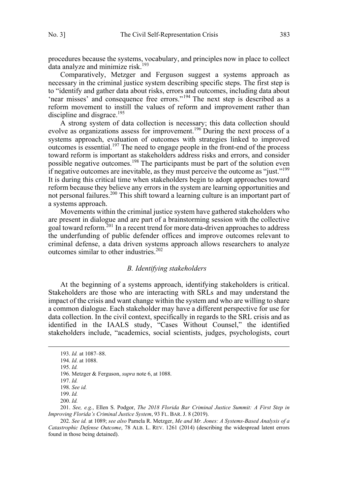procedures because the systems, vocabulary, and principles now in place to collect data analyze and minimize risk.<sup>193</sup>

Comparatively, Metzger and Ferguson suggest a systems approach as necessary in the criminal justice system describing specific steps. The first step is to "identify and gather data about risks, errors and outcomes, including data about 'near misses' and consequence free errors."<sup>194</sup> The next step is described as a reform movement to instill the values of reform and improvement rather than discipline and disgrace.<sup>195</sup>

A strong system of data collection is necessary; this data collection should evolve as organizations assess for improvement.<sup>196</sup> During the next process of a systems approach, evaluation of outcomes with strategies linked to improved outcomes is essential.<sup>197</sup> The need to engage people in the front-end of the process toward reform is important as stakeholders address risks and errors, and consider possible negative outcomes.<sup>198</sup> The participants must be part of the solution even if negative outcomes are inevitable, as they must perceive the outcome as "just."<sup>199</sup> It is during this critical time when stakeholders begin to adopt approaches toward reform because they believe any errors in the system are learning opportunities and not personal failures.<sup>200</sup> This shift toward a learning culture is an important part of a systems approach.

Movements within the criminal justice system have gathered stakeholders who are present in dialogue and are part of a brainstorming session with the collective goal toward reform.<sup>201</sup> In a recent trend for more data-driven approaches to address the underfunding of public defender offices and improve outcomes relevant to criminal defense, a data driven systems approach allows researchers to analyze outcomes similar to other industries.<sup>202</sup>

### *B. Identifying stakeholders*

At the beginning of a systems approach, identifying stakeholders is critical. Stakeholders are those who are interacting with SRLs and may understand the impact of the crisis and want change within the system and who are willing to share a common dialogue. Each stakeholder may have a different perspective for use for data collection. In the civil context, specifically in regards to the SRL crisis and as identified in the IAALS study, "Cases Without Counsel," the identified stakeholders include, "academics, social scientists, judges, psychologists, court

 <sup>193.</sup> *Id.* at 1087–88.

<sup>194.</sup> *Id*. at 1088.

<sup>195.</sup> *Id.*

<sup>196.</sup> Metzger & Ferguson, *supra* note 6, at 1088.

<sup>197.</sup> *Id.* 

<sup>198.</sup> *See id.* 

<sup>199.</sup> *Id.* 

<sup>200.</sup> *Id.*

<sup>201.</sup> *See, e.g.*, Ellen S. Podgor, *The 2018 Florida Bar Criminal Justice Summit: A First Step in Improving Florida's Criminal Justice System*, 93 FL. BAR. J. 8 (2019).

<sup>202.</sup> *See id.* at 1089; *see also* Pamela R. Metzger, *Me and Mr. Jones: A Systems-Based Analysis of a Catastrophic Defense Outcome*, 78 ALB. L. REV. 1261 (2014) (describing the widespread latent errors found in those being detained).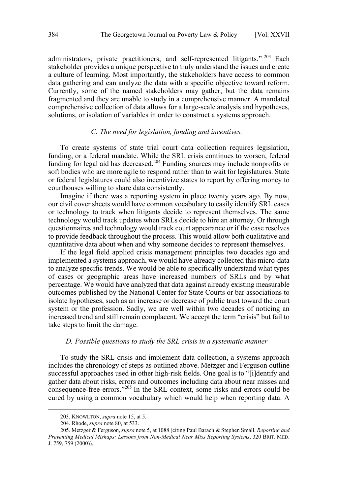administrators, private practitioners, and self-represented litigants."<sup>203</sup> Each stakeholder provides a unique perspective to truly understand the issues and create a culture of learning. Most importantly, the stakeholders have access to common data gathering and can analyze the data with a specific objective toward reform. Currently, some of the named stakeholders may gather, but the data remains fragmented and they are unable to study in a comprehensive manner. A mandated comprehensive collection of data allows for a large-scale analysis and hypotheses, solutions, or isolation of variables in order to construct a systems approach.

### *C. The need for legislation, funding and incentives.*

To create systems of state trial court data collection requires legislation, funding, or a federal mandate. While the SRL crisis continues to worsen, federal funding for legal aid has decreased.<sup>204</sup> Funding sources may include nonprofits or soft bodies who are more agile to respond rather than to wait for legislatures. State or federal legislatures could also incentivize states to report by offering money to courthouses willing to share data consistently.

Imagine if there was a reporting system in place twenty years ago. By now, our civil cover sheets would have common vocabulary to easily identify SRL cases or technology to track when litigants decide to represent themselves. The same technology would track updates when SRLs decide to hire an attorney. Or through questionnaires and technology would track court appearance or if the case resolves to provide feedback throughout the process. This would allow both qualitative and quantitative data about when and why someone decides to represent themselves.

If the legal field applied crisis management principles two decades ago and implemented a systems approach, we would have already collected this micro-data to analyze specific trends. We would be able to specifically understand what types of cases or geographic areas have increased numbers of SRLs and by what percentage. We would have analyzed that data against already existing measurable outcomes published by the National Center for State Courts or bar associations to isolate hypotheses, such as an increase or decrease of public trust toward the court system or the profession. Sadly, we are well within two decades of noticing an increased trend and still remain complacent. We accept the term "crisis" but fail to take steps to limit the damage.

#### *D. Possible questions to study the SRL crisis in a systematic manner*

To study the SRL crisis and implement data collection, a systems approach includes the chronology of steps as outlined above. Metzger and Ferguson outline successful approaches used in other high-risk fields. One goal is to "[i]dentify and gather data about risks, errors and outcomes including data about near misses and consequence-free errors."<sup>205</sup> In the SRL context, some risks and errors could be cured by using a common vocabulary which would help when reporting data. A

 <sup>203.</sup> KNOWLTON, *supra* note 15, at 5.

<sup>204.</sup> Rhode, *supra* note 80, at 533.

<sup>205.</sup> Metzger & Ferguson, *supra* note 5, at 1088 (citing Paul Barach & Stephen Small, *Reporting and Preventing Medical Mishaps: Lessons from Non-Medical Near Miss Reporting Systems*, 320 BRIT. MED. J. 759, 759 (2000)).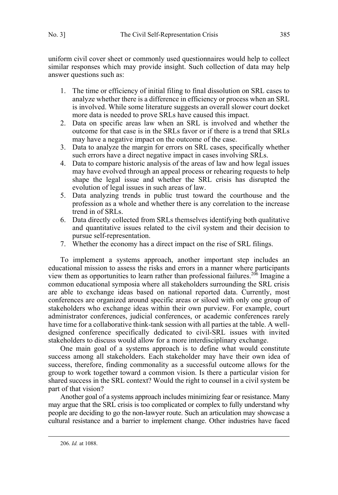uniform civil cover sheet or commonly used questionnaires would help to collect similar responses which may provide insight. Such collection of data may help answer questions such as:

- 1. The time or efficiency of initial filing to final dissolution on SRL cases to analyze whether there is a difference in efficiency or process when an SRL is involved. While some literature suggests an overall slower court docket more data is needed to prove SRLs have caused this impact.
- 2. Data on specific areas law when an SRL is involved and whether the outcome for that case is in the SRLs favor or if there is a trend that SRLs may have a negative impact on the outcome of the case.
- 3. Data to analyze the margin for errors on SRL cases, specifically whether such errors have a direct negative impact in cases involving SRLs.
- 4. Data to compare historic analysis of the areas of law and how legal issues may have evolved through an appeal process or rehearing requests to help shape the legal issue and whether the SRL crisis has disrupted the evolution of legal issues in such areas of law.
- 5. Data analyzing trends in public trust toward the courthouse and the profession as a whole and whether there is any correlation to the increase trend in of SRLs.
- 6. Data directly collected from SRLs themselves identifying both qualitative and quantitative issues related to the civil system and their decision to pursue self-representation.
- 7. Whether the economy has a direct impact on the rise of SRL filings.

To implement a systems approach, another important step includes an educational mission to assess the risks and errors in a manner where participants view them as opportunities to learn rather than professional failures.<sup>206</sup> Imagine a common educational symposia where all stakeholders surrounding the SRL crisis are able to exchange ideas based on national reported data. Currently, most conferences are organized around specific areas or siloed with only one group of stakeholders who exchange ideas within their own purview. For example, court administrator conferences, judicial conferences, or academic conferences rarely have time for a collaborative think-tank session with all parties at the table. A welldesigned conference specifically dedicated to civil-SRL issues with invited stakeholders to discuss would allow for a more interdisciplinary exchange.

One main goal of a systems approach is to define what would constitute success among all stakeholders. Each stakeholder may have their own idea of success, therefore, finding commonality as a successful outcome allows for the group to work together toward a common vision. Is there a particular vision for shared success in the SRL context? Would the right to counsel in a civil system be part of that vision?

Another goal of a systems approach includes minimizing fear or resistance. Many may argue that the SRL crisis is too complicated or complex to fully understand why people are deciding to go the non-lawyer route. Such an articulation may showcase a cultural resistance and a barrier to implement change. Other industries have faced

 <sup>206.</sup> *Id.* at 1088.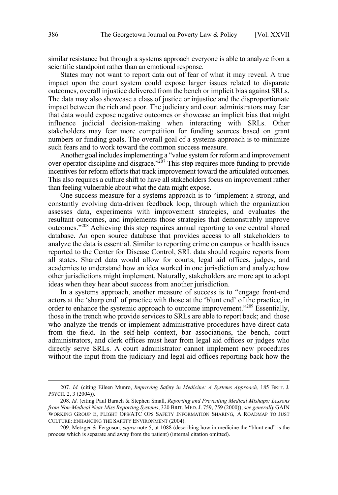similar resistance but through a systems approach everyone is able to analyze from a scientific standpoint rather than an emotional response.

States may not want to report data out of fear of what it may reveal. A true impact upon the court system could expose larger issues related to disparate outcomes, overall injustice delivered from the bench or implicit bias against SRLs. The data may also showcase a class of justice or injustice and the disproportionate impact between the rich and poor. The judiciary and court administrators may fear that data would expose negative outcomes or showcase an implicit bias that might influence judicial decision-making when interacting with SRLs. Other stakeholders may fear more competition for funding sources based on grant numbers or funding goals. The overall goal of a systems approach is to minimize such fears and to work toward the common success measure.

Another goal includes implementing a "value system for reform and improvement over operator discipline and disgrace." $2^{207}$  This step requires more funding to provide incentives for reform efforts that track improvement toward the articulated outcomes. This also requires a culture shift to have all stakeholders focus on improvement rather than feeling vulnerable about what the data might expose.

One success measure for a systems approach is to "implement a strong, and constantly evolving data-driven feedback loop, through which the organization assesses data, experiments with improvement strategies, and evaluates the resultant outcomes, and implements those strategies that demonstrably improve outcomes."<sup>208</sup> Achieving this step requires annual reporting to one central shared database. An open source database that provides access to all stakeholders to analyze the data is essential. Similar to reporting crime on campus or health issues reported to the Center for Disease Control, SRL data should require reports from all states. Shared data would allow for courts, legal aid offices, judges, and academics to understand how an idea worked in one jurisdiction and analyze how other jurisdictions might implement. Naturally, stakeholders are more apt to adopt ideas when they hear about success from another jurisdiction.

In a systems approach, another measure of success is to "engage front-end actors at the 'sharp end' of practice with those at the 'blunt end' of the practice, in order to enhance the systemic approach to outcome improvement."<sup>209</sup> Essentially, those in the trench who provide services to SRLs are able to report back; and those who analyze the trends or implement administrative procedures have direct data from the field. In the self-help context, bar associations, the bench, court administrators, and clerk offices must hear from legal aid offices or judges who directly serve SRLs. A court administrator cannot implement new procedures without the input from the judiciary and legal aid offices reporting back how the

 <sup>207.</sup> *Id.* (citing Eileen Munro, *Improving Safety in Medicine: A Systems Approach,* 185 BRIT. J. PSYCH. 2, 3 (2004)).

<sup>208.</sup> *Id.* (citing Paul Barach & Stephen Small, *Reporting and Preventing Medical Mishaps: Lessons from Non-Medical Near Miss Reporting Systems*, 320 BRIT. MED.J. 759, 759 (2000)); *see generally* GAIN WORKING GROUP E, FLIGHT OPS/ATC OPS SAFETY INFORMATION SHARING, A ROADMAP TO JUST CULTURE: ENHANCING THE SAFETY ENVIRONMENT (2004).

<sup>209.</sup> Metzger & Ferguson, *supra* note 5, at 1088 (describing how in medicine the "blunt end" is the process which is separate and away from the patient) (internal citation omitted).